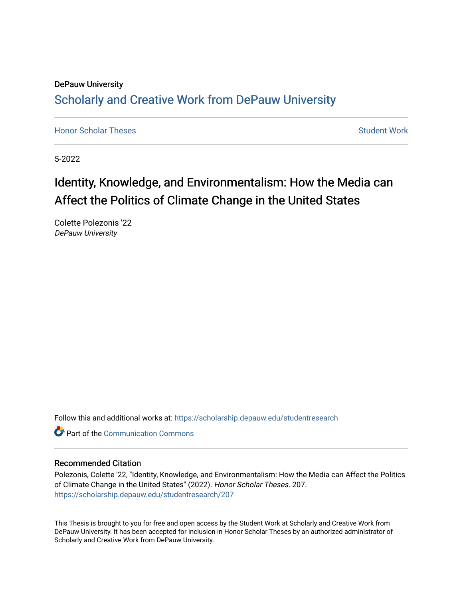## DePauw University Scholarly and [Creative Work from DePauw Univ](https://scholarship.depauw.edu/)ersity

**[Honor Scholar Theses](https://scholarship.depauw.edu/studentresearch) [Student Work](https://scholarship.depauw.edu/studentwork) Student Work Student Work** 

5-2022

# Identity, Knowledge, and Environmentalism: How the Media can Affect the Politics of Climate Change in the United States

Colette Polezonis '22 DePauw University

Follow this and additional works at: [https://scholarship.depauw.edu/studentresearch](https://scholarship.depauw.edu/studentresearch?utm_source=scholarship.depauw.edu%2Fstudentresearch%2F207&utm_medium=PDF&utm_campaign=PDFCoverPages)

**C** Part of the Communication Commons

## Recommended Citation

Polezonis, Colette '22, "Identity, Knowledge, and Environmentalism: How the Media can Affect the Politics of Climate Change in the United States" (2022). Honor Scholar Theses. 207. [https://scholarship.depauw.edu/studentresearch/207](https://scholarship.depauw.edu/studentresearch/207?utm_source=scholarship.depauw.edu%2Fstudentresearch%2F207&utm_medium=PDF&utm_campaign=PDFCoverPages)

This Thesis is brought to you for free and open access by the Student Work at Scholarly and Creative Work from DePauw University. It has been accepted for inclusion in Honor Scholar Theses by an authorized administrator of Scholarly and Creative Work from DePauw University.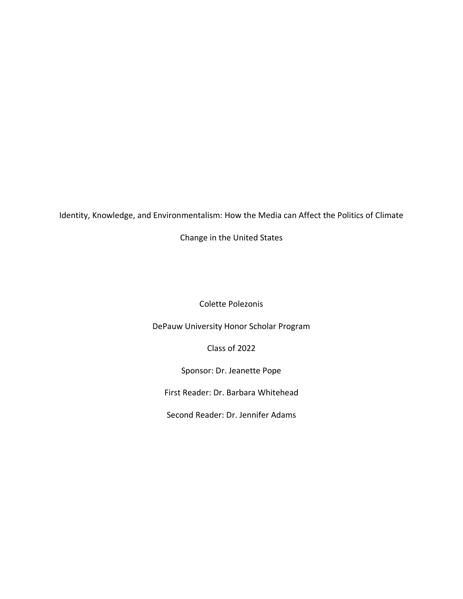Identity, Knowledge, and Environmentalism: How the Media can Affect the Politics of Climate

Change in the United States

Colette Polezonis

DePauw University Honor Scholar Program

Class of 2022

Sponsor: Dr. Jeanette Pope

First Reader: Dr. Barbara Whitehead

Second Reader: Dr. Jennifer Adams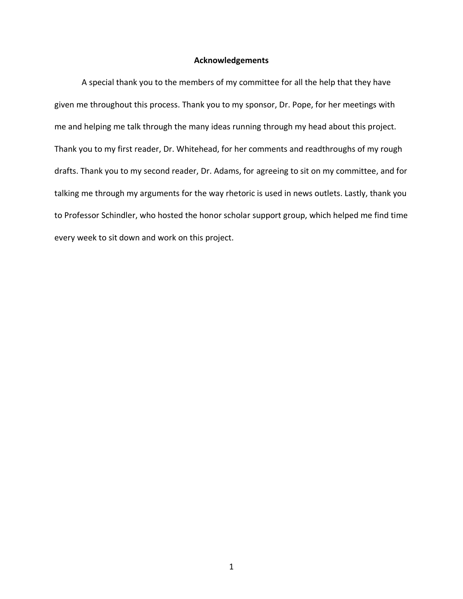## **Acknowledgements**

A special thank you to the members of my committee for all the help that they have given me throughout this process. Thank you to my sponsor, Dr. Pope, for her meetings with me and helping me talk through the many ideas running through my head about this project. Thank you to my first reader, Dr. Whitehead, for her comments and readthroughs of my rough drafts. Thank you to my second reader, Dr. Adams, for agreeing to sit on my committee, and for talking me through my arguments for the way rhetoric is used in news outlets. Lastly, thank you to Professor Schindler, who hosted the honor scholar support group, which helped me find time every week to sit down and work on this project.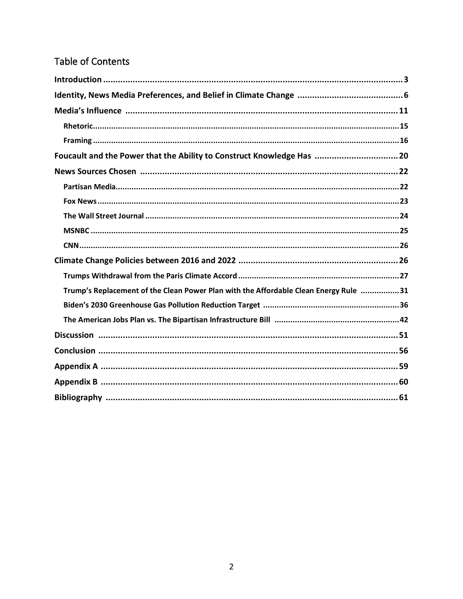## Table of Contents

| Foucault and the Power that the Ability to Construct Knowledge Has  20               |
|--------------------------------------------------------------------------------------|
|                                                                                      |
|                                                                                      |
|                                                                                      |
|                                                                                      |
|                                                                                      |
|                                                                                      |
|                                                                                      |
|                                                                                      |
|                                                                                      |
| Trump's Replacement of the Clean Power Plan with the Affordable Clean Energy Rule 31 |
|                                                                                      |
|                                                                                      |
|                                                                                      |
|                                                                                      |
|                                                                                      |
|                                                                                      |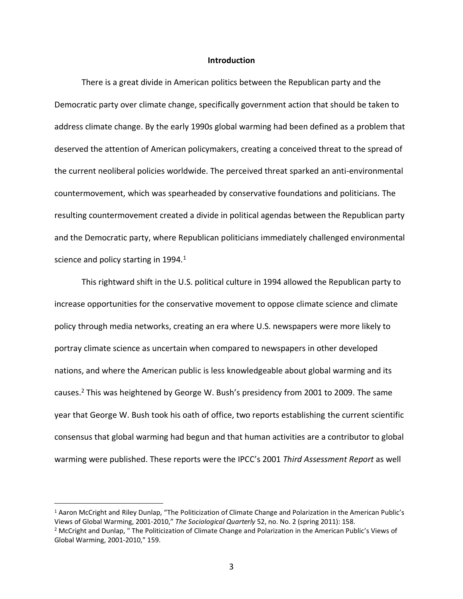#### **Introduction**

There is a great divide in American politics between the Republican party and the Democratic party over climate change, specifically government action that should be taken to address climate change. By the early 1990s global warming had been defined as a problem that deserved the attention of American policymakers, creating a conceived threat to the spread of the current neoliberal policies worldwide. The perceived threat sparked an anti-environmental countermovement, which was spearheaded by conservative foundations and politicians. The resulting countermovement created a divide in political agendas between the Republican party and the Democratic party, where Republican politicians immediately challenged environmental science and policy starting in 1994.<sup>1</sup>

This rightward shift in the U.S. political culture in 1994 allowed the Republican party to increase opportunities for the conservative movement to oppose climate science and climate policy through media networks, creating an era where U.S. newspapers were more likely to portray climate science as uncertain when compared to newspapers in other developed nations, and where the American public is less knowledgeable about global warming and its causes.<sup>2</sup> This was heightened by George W. Bush's presidency from 2001 to 2009. The same year that George W. Bush took his oath of office, two reports establishing the current scientific consensus that global warming had begun and that human activities are a contributor to global warming were published. These reports were the IPCC's 2001 *Third Assessment Report* as well

<sup>1</sup> Aaron McCright and Riley Dunlap, "The Politicization of Climate Change and Polarization in the American Public's Views of Global Warming, 2001-2010," *The Sociological Quarterly* 52, no. No. 2 (spring 2011): 158.

<sup>2</sup> McCright and Dunlap, " The Politicization of Climate Change and Polarization in the American Public's Views of Global Warming, 2001-2010," 159.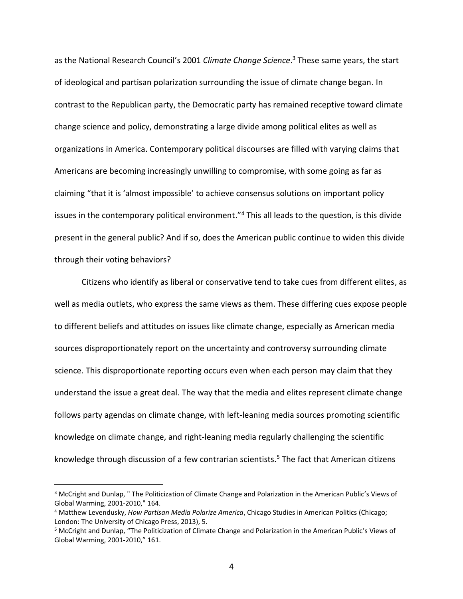as the National Research Council's 2001 *Climate Change Science*. <sup>3</sup> These same years, the start of ideological and partisan polarization surrounding the issue of climate change began. In contrast to the Republican party, the Democratic party has remained receptive toward climate change science and policy, demonstrating a large divide among political elites as well as organizations in America. Contemporary political discourses are filled with varying claims that Americans are becoming increasingly unwilling to compromise, with some going as far as claiming "that it is 'almost impossible' to achieve consensus solutions on important policy issues in the contemporary political environment."<sup>4</sup> This all leads to the question, is this divide present in the general public? And if so, does the American public continue to widen this divide through their voting behaviors?

Citizens who identify as liberal or conservative tend to take cues from different elites, as well as media outlets, who express the same views as them. These differing cues expose people to different beliefs and attitudes on issues like climate change, especially as American media sources disproportionately report on the uncertainty and controversy surrounding climate science. This disproportionate reporting occurs even when each person may claim that they understand the issue a great deal. The way that the media and elites represent climate change follows party agendas on climate change, with left-leaning media sources promoting scientific knowledge on climate change, and right-leaning media regularly challenging the scientific knowledge through discussion of a few contrarian scientists.<sup>5</sup> The fact that American citizens

<sup>3</sup> McCright and Dunlap, " The Politicization of Climate Change and Polarization in the American Public's Views of Global Warming, 2001-2010," 164.

<sup>4</sup> Matthew Levendusky, *How Partisan Media Polarize America*, Chicago Studies in American Politics (Chicago; London: The University of Chicago Press, 2013), 5.

<sup>5</sup> McCright and Dunlap, "The Politicization of Climate Change and Polarization in the American Public's Views of Global Warming, 2001-2010," 161.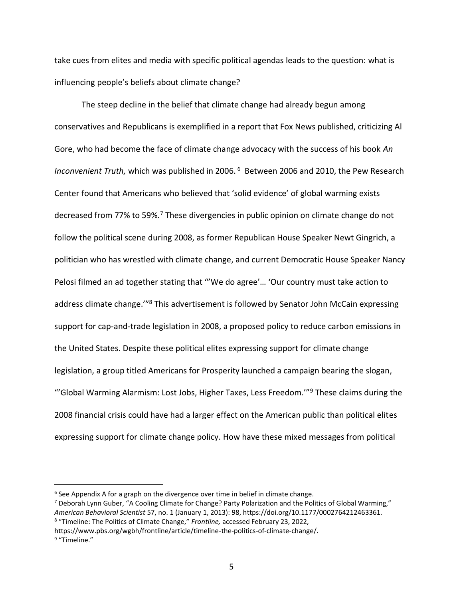take cues from elites and media with specific political agendas leads to the question: what is influencing people's beliefs about climate change?

The steep decline in the belief that climate change had already begun among conservatives and Republicans is exemplified in a report that Fox News published, criticizing Al Gore, who had become the face of climate change advocacy with the success of his book *An Inconvenient Truth,* which was published in 2006. <sup>6</sup> Between 2006 and 2010, the Pew Research Center found that Americans who believed that 'solid evidence' of global warming exists decreased from 77% to 59%.<sup>7</sup> These divergencies in public opinion on climate change do not follow the political scene during 2008, as former Republican House Speaker Newt Gingrich, a politician who has wrestled with climate change, and current Democratic House Speaker Nancy Pelosi filmed an ad together stating that "'We do agree'… 'Our country must take action to address climate change.<sup>'''8</sup> This advertisement is followed by Senator John McCain expressing support for cap-and-trade legislation in 2008, a proposed policy to reduce carbon emissions in the United States. Despite these political elites expressing support for climate change legislation, a group titled Americans for Prosperity launched a campaign bearing the slogan, "'Global Warming Alarmism: Lost Jobs, Higher Taxes, Less Freedom."<sup>9</sup> These claims during the 2008 financial crisis could have had a larger effect on the American public than political elites expressing support for climate change policy. How have these mixed messages from political

<sup>&</sup>lt;sup>6</sup> See Appendix A for a graph on the divergence over time in belief in climate change.

<sup>7</sup> Deborah Lynn Guber, "A Cooling Climate for Change? Party Polarization and the Politics of Global Warming," *American Behavioral Scientist* 57, no. 1 (January 1, 2013): 98, https://doi.org/10.1177/0002764212463361. <sup>8</sup> "Timeline: The Politics of Climate Change," *Frontline,* accessed February 23, 2022,

https://www.pbs.org/wgbh/frontline/article/timeline-the-politics-of-climate-change/.

<sup>&</sup>lt;sup>9</sup> "Timeline."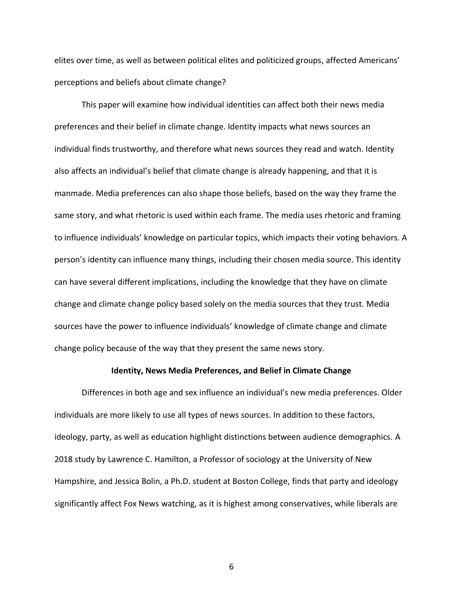elites over time, as well as between political elites and politicized groups, affected Americans' perceptions and beliefs about climate change?

This paper will examine how individual identities can affect both their news media preferences and their belief in climate change. Identity impacts what news sources an individual finds trustworthy, and therefore what news sources they read and watch. Identity also affects an individual's belief that climate change is already happening, and that it is manmade. Media preferences can also shape those beliefs, based on the way they frame the same story, and what rhetoric is used within each frame. The media uses rhetoric and framing to influence individuals' knowledge on particular topics, which impacts their voting behaviors. A person's identity can influence many things, including their chosen media source. This identity can have several different implications, including the knowledge that they have on climate change and climate change policy based solely on the media sources that they trust. Media sources have the power to influence individuals' knowledge of climate change and climate change policy because of the way that they present the same news story.

#### **Identity, News Media Preferences, and Belief in Climate Change**

Differences in both age and sex influence an individual's new media preferences. Older individuals are more likely to use all types of news sources. In addition to these factors, ideology, party, as well as education highlight distinctions between audience demographics. A 2018 study by Lawrence C. Hamilton, a Professor of sociology at the University of New Hampshire, and Jessica Bolin, a Ph.D. student at Boston College, finds that party and ideology significantly affect Fox News watching, as it is highest among conservatives, while liberals are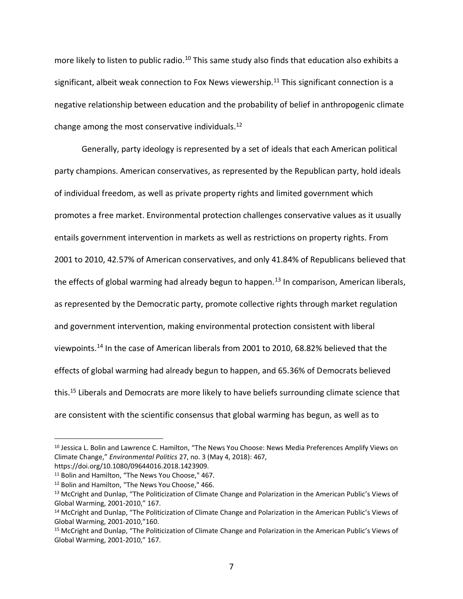more likely to listen to public radio.<sup>10</sup> This same study also finds that education also exhibits a significant, albeit weak connection to Fox News viewership.<sup>11</sup> This significant connection is a negative relationship between education and the probability of belief in anthropogenic climate change among the most conservative individuals.<sup>12</sup>

Generally, party ideology is represented by a set of ideals that each American political party champions. American conservatives, as represented by the Republican party, hold ideals of individual freedom, as well as private property rights and limited government which promotes a free market. Environmental protection challenges conservative values as it usually entails government intervention in markets as well as restrictions on property rights. From 2001 to 2010, 42.57% of American conservatives, and only 41.84% of Republicans believed that the effects of global warming had already begun to happen.<sup>13</sup> In comparison, American liberals, as represented by the Democratic party, promote collective rights through market regulation and government intervention, making environmental protection consistent with liberal viewpoints.<sup>14</sup> In the case of American liberals from 2001 to 2010, 68.82% believed that the effects of global warming had already begun to happen, and 65.36% of Democrats believed this.<sup>15</sup> Liberals and Democrats are more likely to have beliefs surrounding climate science that are consistent with the scientific consensus that global warming has begun, as well as to

<sup>&</sup>lt;sup>10</sup> Jessica L. Bolin and Lawrence C. Hamilton, "The News You Choose: News Media Preferences Amplify Views on Climate Change," *Environmental Politics* 27, no. 3 (May 4, 2018): 467, https://doi.org/10.1080/09644016.2018.1423909.

<sup>&</sup>lt;sup>11</sup> Bolin and Hamilton, "The News You Choose," 467.

<sup>12</sup> Bolin and Hamilton, "The News You Choose," 466.

<sup>&</sup>lt;sup>13</sup> McCright and Dunlap, "The Politicization of Climate Change and Polarization in the American Public's Views of Global Warming, 2001-2010," 167.

<sup>14</sup> McCright and Dunlap, "The Politicization of Climate Change and Polarization in the American Public's Views of Global Warming, 2001-2010,"160.

<sup>15</sup> McCright and Dunlap, "The Politicization of Climate Change and Polarization in the American Public's Views of Global Warming, 2001-2010," 167.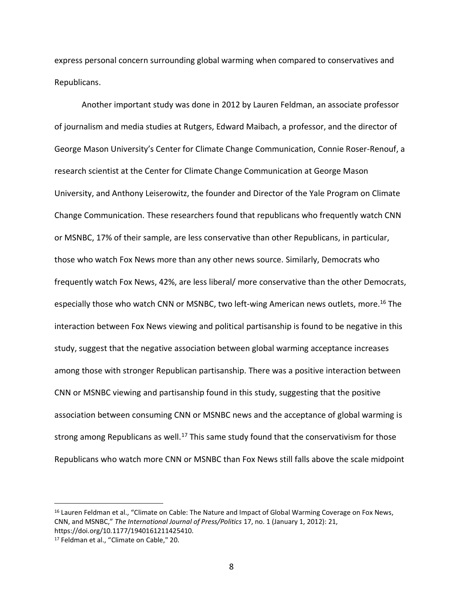express personal concern surrounding global warming when compared to conservatives and Republicans.

Another important study was done in 2012 by Lauren Feldman, an associate professor of journalism and media studies at Rutgers, Edward Maibach, a professor, and the director of George Mason University's Center for Climate Change Communication, Connie Roser-Renouf, a research scientist at the Center for Climate Change Communication at George Mason University, and Anthony Leiserowitz, the founder and Director of the Yale Program on Climate Change Communication. These researchers found that republicans who frequently watch CNN or MSNBC, 17% of their sample, are less conservative than other Republicans, in particular, those who watch Fox News more than any other news source. Similarly, Democrats who frequently watch Fox News, 42%, are less liberal/ more conservative than the other Democrats, especially those who watch CNN or MSNBC, two left-wing American news outlets, more.<sup>16</sup> The interaction between Fox News viewing and political partisanship is found to be negative in this study, suggest that the negative association between global warming acceptance increases among those with stronger Republican partisanship. There was a positive interaction between CNN or MSNBC viewing and partisanship found in this study, suggesting that the positive association between consuming CNN or MSNBC news and the acceptance of global warming is strong among Republicans as well.<sup>17</sup> This same study found that the conservativism for those Republicans who watch more CNN or MSNBC than Fox News still falls above the scale midpoint

<sup>&</sup>lt;sup>16</sup> Lauren Feldman et al., "Climate on Cable: The Nature and Impact of Global Warming Coverage on Fox News, CNN, and MSNBC," *The International Journal of Press/Politics* 17, no. 1 (January 1, 2012): 21, https://doi.org/10.1177/1940161211425410.

<sup>17</sup> Feldman et al., "Climate on Cable," 20.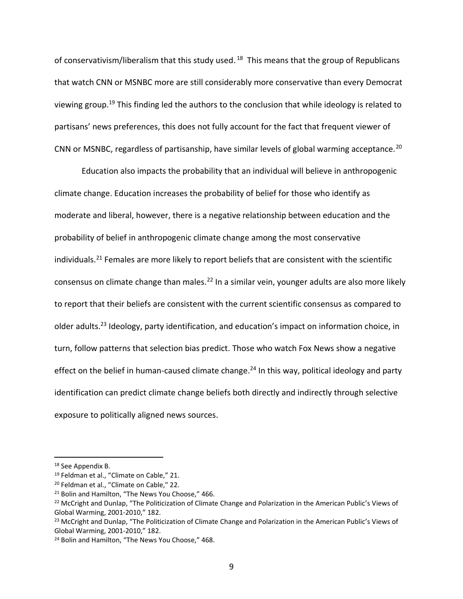of conservativism/liberalism that this study used.<sup>18</sup> This means that the group of Republicans that watch CNN or MSNBC more are still considerably more conservative than every Democrat viewing group.<sup>19</sup> This finding led the authors to the conclusion that while ideology is related to partisans' news preferences, this does not fully account for the fact that frequent viewer of CNN or MSNBC, regardless of partisanship, have similar levels of global warming acceptance.<sup>20</sup>

Education also impacts the probability that an individual will believe in anthropogenic climate change. Education increases the probability of belief for those who identify as moderate and liberal, however, there is a negative relationship between education and the probability of belief in anthropogenic climate change among the most conservative individuals.<sup>21</sup> Females are more likely to report beliefs that are consistent with the scientific consensus on climate change than males.<sup>22</sup> In a similar vein, younger adults are also more likely to report that their beliefs are consistent with the current scientific consensus as compared to older adults.<sup>23</sup> Ideology, party identification, and education's impact on information choice, in turn, follow patterns that selection bias predict. Those who watch Fox News show a negative effect on the belief in human-caused climate change.<sup>24</sup> In this way, political ideology and party identification can predict climate change beliefs both directly and indirectly through selective exposure to politically aligned news sources.

<sup>18</sup> See Appendix B.

<sup>19</sup> Feldman et al., "Climate on Cable," 21.

<sup>20</sup> Feldman et al., "Climate on Cable," 22.

<sup>&</sup>lt;sup>21</sup> Bolin and Hamilton, "The News You Choose," 466.

<sup>&</sup>lt;sup>22</sup> McCright and Dunlap, "The Politicization of Climate Change and Polarization in the American Public's Views of Global Warming, 2001-2010," 182.

<sup>&</sup>lt;sup>23</sup> McCright and Dunlap, "The Politicization of Climate Change and Polarization in the American Public's Views of Global Warming, 2001-2010," 182.

<sup>&</sup>lt;sup>24</sup> Bolin and Hamilton, "The News You Choose," 468.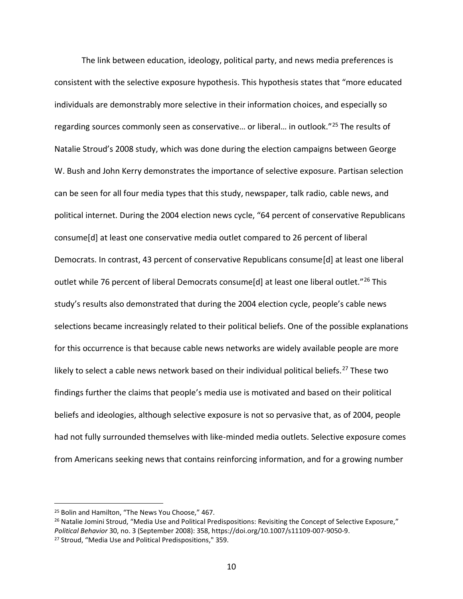The link between education, ideology, political party, and news media preferences is consistent with the selective exposure hypothesis. This hypothesis states that "more educated individuals are demonstrably more selective in their information choices, and especially so regarding sources commonly seen as conservative… or liberal… in outlook."<sup>25</sup> The results of Natalie Stroud's 2008 study, which was done during the election campaigns between George W. Bush and John Kerry demonstrates the importance of selective exposure. Partisan selection can be seen for all four media types that this study, newspaper, talk radio, cable news, and political internet. During the 2004 election news cycle, "64 percent of conservative Republicans consume[d] at least one conservative media outlet compared to 26 percent of liberal Democrats. In contrast, 43 percent of conservative Republicans consume[d] at least one liberal outlet while 76 percent of liberal Democrats consume[d] at least one liberal outlet."<sup>26</sup> This study's results also demonstrated that during the 2004 election cycle, people's cable news selections became increasingly related to their political beliefs. One of the possible explanations for this occurrence is that because cable news networks are widely available people are more likely to select a cable news network based on their individual political beliefs.<sup>27</sup> These two findings further the claims that people's media use is motivated and based on their political beliefs and ideologies, although selective exposure is not so pervasive that, as of 2004, people had not fully surrounded themselves with like-minded media outlets. Selective exposure comes from Americans seeking news that contains reinforcing information, and for a growing number

<sup>25</sup> Bolin and Hamilton, "The News You Choose," 467.

<sup>&</sup>lt;sup>26</sup> Natalie Jomini Stroud, "Media Use and Political Predispositions: Revisiting the Concept of Selective Exposure," *Political Behavior* 30, no. 3 (September 2008): 358, https://doi.org/10.1007/s11109-007-9050-9. <sup>27</sup> Stroud, "Media Use and Political Predispositions," 359.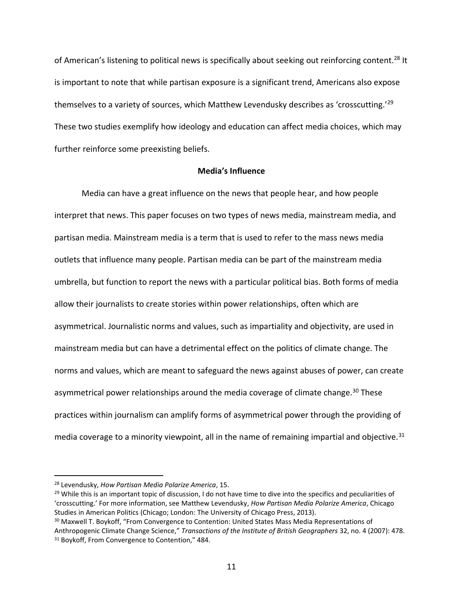of American's listening to political news is specifically about seeking out reinforcing content.<sup>28</sup> It is important to note that while partisan exposure is a significant trend, Americans also expose themselves to a variety of sources, which Matthew Levendusky describes as 'crosscutting.'<sup>29</sup> These two studies exemplify how ideology and education can affect media choices, which may further reinforce some preexisting beliefs.

## **Media's Influence**

Media can have a great influence on the news that people hear, and how people interpret that news. This paper focuses on two types of news media, mainstream media, and partisan media. Mainstream media is a term that is used to refer to the mass news media outlets that influence many people. Partisan media can be part of the mainstream media umbrella, but function to report the news with a particular political bias. Both forms of media allow their journalists to create stories within power relationships, often which are asymmetrical. Journalistic norms and values, such as impartiality and objectivity, are used in mainstream media but can have a detrimental effect on the politics of climate change. The norms and values, which are meant to safeguard the news against abuses of power, can create asymmetrical power relationships around the media coverage of climate change.<sup>30</sup> These practices within journalism can amplify forms of asymmetrical power through the providing of media coverage to a minority viewpoint, all in the name of remaining impartial and objective.<sup>31</sup>

<sup>28</sup> Levendusky, *How Partisan Media Polarize America*, 15.

<sup>&</sup>lt;sup>29</sup> While this is an important topic of discussion, I do not have time to dive into the specifics and peculiarities of 'crosscutting.' For more information, see Matthew Levendusky, *How Partisan Media Polarize America*, Chicago Studies in American Politics (Chicago; London: The University of Chicago Press, 2013).

<sup>&</sup>lt;sup>30</sup> Maxwell T. Boykoff, "From Convergence to Contention: United States Mass Media Representations of Anthropogenic Climate Change Science," *Transactions of the Institute of British Geographers* 32, no. 4 (2007): 478. <sup>31</sup> Boykoff, From Convergence to Contention," 484.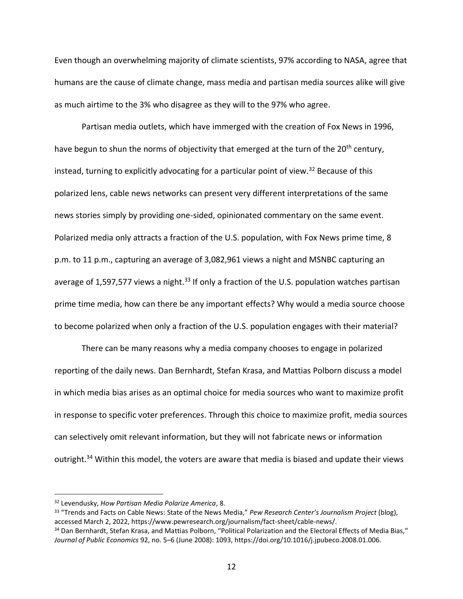Even though an overwhelming majority of climate scientists, 97% according to NASA, agree that humans are the cause of climate change, mass media and partisan media sources alike will give as much airtime to the 3% who disagree as they will to the 97% who agree.

Partisan media outlets, which have immerged with the creation of Fox News in 1996, have begun to shun the norms of objectivity that emerged at the turn of the 20<sup>th</sup> century, instead, turning to explicitly advocating for a particular point of view.<sup>32</sup> Because of this polarized lens, cable news networks can present very different interpretations of the same news stories simply by providing one-sided, opinionated commentary on the same event. Polarized media only attracts a fraction of the U.S. population, with Fox News prime time, 8 p.m. to 11 p.m., capturing an average of 3,082,961 views a night and MSNBC capturing an average of 1,597,577 views a night.<sup>33</sup> If only a fraction of the U.S. population watches partisan prime time media, how can there be any important effects? Why would a media source choose to become polarized when only a fraction of the U.S. population engages with their material?

There can be many reasons why a media company chooses to engage in polarized reporting of the daily news. Dan Bernhardt, Stefan Krasa, and Mattias Polborn discuss a model in which media bias arises as an optimal choice for media sources who want to maximize profit in response to specific voter preferences. Through this choice to maximize profit, media sources can selectively omit relevant information, but they will not fabricate news or information outright.<sup>34</sup> Within this model, the voters are aware that media is biased and update their views

<sup>32</sup> Levendusky, *How Partisan Media Polarize America*, 8.

<sup>33</sup> "Trends and Facts on Cable News: State of the News Media," *Pew Research Center's Journalism Project* (blog), accessed March 2, 2022, https://www.pewresearch.org/journalism/fact-sheet/cable-news/.

<sup>34</sup> Dan Bernhardt, Stefan Krasa, and Mattias Polborn, "Political Polarization and the Electoral Effects of Media Bias," *Journal of Public Economics* 92, no. 5–6 (June 2008): 1093, https://doi.org/10.1016/j.jpubeco.2008.01.006.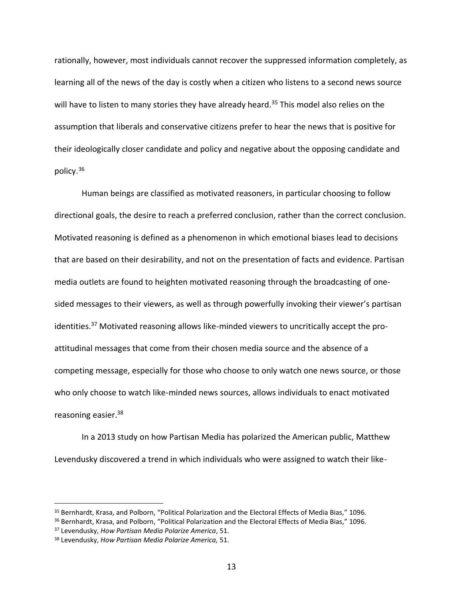rationally, however, most individuals cannot recover the suppressed information completely, as learning all of the news of the day is costly when a citizen who listens to a second news source will have to listen to many stories they have already heard.<sup>35</sup> This model also relies on the assumption that liberals and conservative citizens prefer to hear the news that is positive for their ideologically closer candidate and policy and negative about the opposing candidate and policy.<sup>36</sup>

Human beings are classified as motivated reasoners, in particular choosing to follow directional goals, the desire to reach a preferred conclusion, rather than the correct conclusion. Motivated reasoning is defined as a phenomenon in which emotional biases lead to decisions that are based on their desirability, and not on the presentation of facts and evidence. Partisan media outlets are found to heighten motivated reasoning through the broadcasting of onesided messages to their viewers, as well as through powerfully invoking their viewer's partisan identities.<sup>37</sup> Motivated reasoning allows like-minded viewers to uncritically accept the proattitudinal messages that come from their chosen media source and the absence of a competing message, especially for those who choose to only watch one news source, or those who only choose to watch like-minded news sources, allows individuals to enact motivated reasoning easier.<sup>38</sup>

In a 2013 study on how Partisan Media has polarized the American public, Matthew Levendusky discovered a trend in which individuals who were assigned to watch their like-

<sup>35</sup> Bernhardt, Krasa, and Polborn, "Political Polarization and the Electoral Effects of Media Bias," 1096.

<sup>36</sup> Bernhardt, Krasa, and Polborn, "Political Polarization and the Electoral Effects of Media Bias," 1096.

<sup>37</sup> Levendusky, *How Partisan Media Polarize America*, 51.

<sup>38</sup> Levendusky, *How Partisan Media Polarize America,* 51.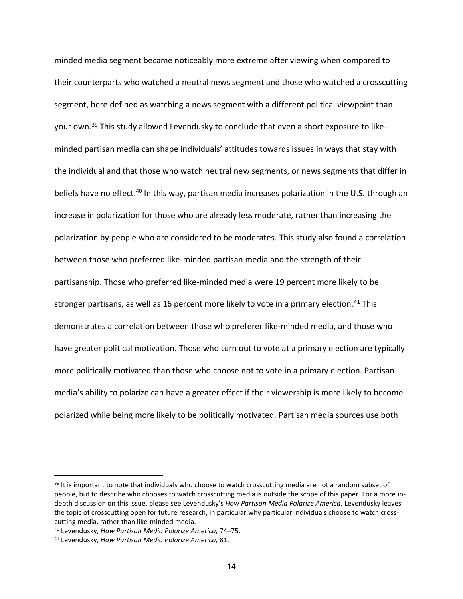minded media segment became noticeably more extreme after viewing when compared to their counterparts who watched a neutral news segment and those who watched a crosscutting segment, here defined as watching a news segment with a different political viewpoint than your own.<sup>39</sup> This study allowed Levendusky to conclude that even a short exposure to likeminded partisan media can shape individuals' attitudes towards issues in ways that stay with the individual and that those who watch neutral new segments, or news segments that differ in beliefs have no effect.<sup>40</sup> In this way, partisan media increases polarization in the U.S. through an increase in polarization for those who are already less moderate, rather than increasing the polarization by people who are considered to be moderates. This study also found a correlation between those who preferred like-minded partisan media and the strength of their partisanship. Those who preferred like-minded media were 19 percent more likely to be stronger partisans, as well as 16 percent more likely to vote in a primary election.<sup>41</sup> This demonstrates a correlation between those who preferer like-minded media, and those who have greater political motivation. Those who turn out to vote at a primary election are typically more politically motivated than those who choose not to vote in a primary election. Partisan media's ability to polarize can have a greater effect if their viewership is more likely to become polarized while being more likely to be politically motivated. Partisan media sources use both

<sup>&</sup>lt;sup>39</sup> It is important to note that individuals who choose to watch crosscutting media are not a random subset of people, but to describe who chooses to watch crosscutting media is outside the scope of this paper. For a more indepth discussion on this issue, please see Levendusky's *How Partisan Media Polarize America.* Levendusky leaves the topic of crosscutting open for future research, in particular why particular individuals choose to watch crosscutting media, rather than like-minded media.

<sup>40</sup> Levendusky, *How Partisan Media Polarize America,* 74–75.

<sup>41</sup> Levendusky, *How Partisan Media Polarize America,* 81.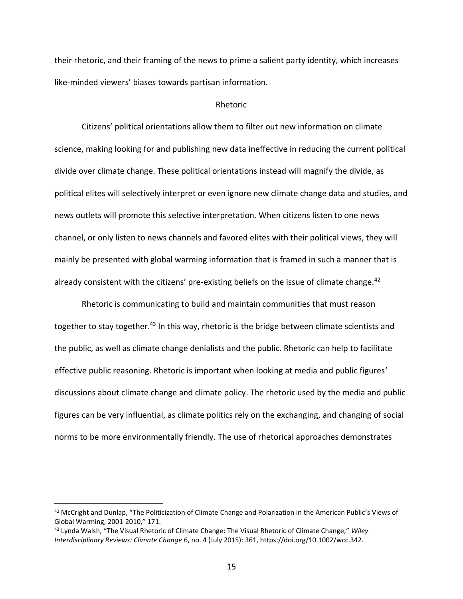their rhetoric, and their framing of the news to prime a salient party identity, which increases like-minded viewers' biases towards partisan information.

#### Rhetoric

Citizens' political orientations allow them to filter out new information on climate science, making looking for and publishing new data ineffective in reducing the current political divide over climate change. These political orientations instead will magnify the divide, as political elites will selectively interpret or even ignore new climate change data and studies, and news outlets will promote this selective interpretation. When citizens listen to one news channel, or only listen to news channels and favored elites with their political views, they will mainly be presented with global warming information that is framed in such a manner that is already consistent with the citizens' pre-existing beliefs on the issue of climate change.<sup>42</sup>

Rhetoric is communicating to build and maintain communities that must reason together to stay together.<sup>43</sup> In this way, rhetoric is the bridge between climate scientists and the public, as well as climate change denialists and the public. Rhetoric can help to facilitate effective public reasoning. Rhetoric is important when looking at media and public figures' discussions about climate change and climate policy. The rhetoric used by the media and public figures can be very influential, as climate politics rely on the exchanging, and changing of social norms to be more environmentally friendly. The use of rhetorical approaches demonstrates

<sup>42</sup> McCright and Dunlap, "The Politicization of Climate Change and Polarization in the American Public's Views of Global Warming, 2001-2010," 171.

<sup>43</sup> Lynda Walsh, "The Visual Rhetoric of Climate Change: The Visual Rhetoric of Climate Change," *Wiley Interdisciplinary Reviews: Climate Change* 6, no. 4 (July 2015): 361, https://doi.org/10.1002/wcc.342.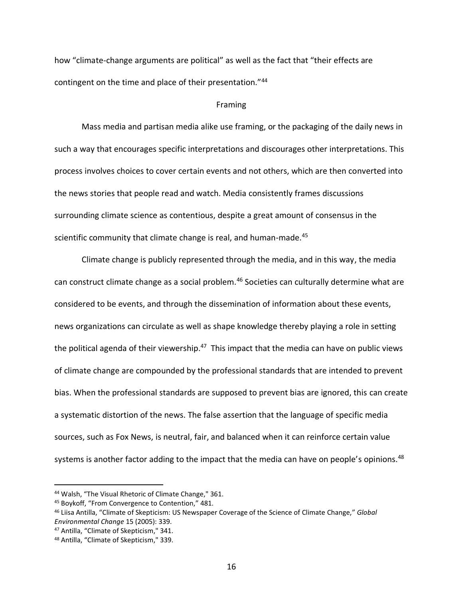how "climate-change arguments are political" as well as the fact that "their effects are contingent on the time and place of their presentation."<sup>44</sup>

#### Framing

Mass media and partisan media alike use framing, or the packaging of the daily news in such a way that encourages specific interpretations and discourages other interpretations. This process involves choices to cover certain events and not others, which are then converted into the news stories that people read and watch. Media consistently frames discussions surrounding climate science as contentious, despite a great amount of consensus in the scientific community that climate change is real, and human-made.<sup>45</sup>

Climate change is publicly represented through the media, and in this way, the media can construct climate change as a social problem.<sup>46</sup> Societies can culturally determine what are considered to be events, and through the dissemination of information about these events, news organizations can circulate as well as shape knowledge thereby playing a role in setting the political agenda of their viewership.<sup>47</sup> This impact that the media can have on public views of climate change are compounded by the professional standards that are intended to prevent bias. When the professional standards are supposed to prevent bias are ignored, this can create a systematic distortion of the news. The false assertion that the language of specific media sources, such as Fox News, is neutral, fair, and balanced when it can reinforce certain value systems is another factor adding to the impact that the media can have on people's opinions.<sup>48</sup>

<sup>44</sup> Walsh, "The Visual Rhetoric of Climate Change," 361.

<sup>45</sup> Boykoff, "From Convergence to Contention," 481.

<sup>46</sup> Liisa Antilla, "Climate of Skepticism: US Newspaper Coverage of the Science of Climate Change," *Global Environmental Change* 15 (2005): 339.

<sup>47</sup> Antilla, "Climate of Skepticism," 341.

<sup>48</sup> Antilla, "Climate of Skepticism," 339.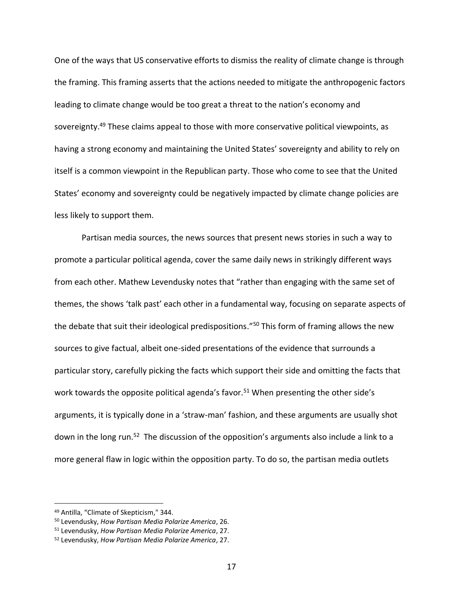One of the ways that US conservative efforts to dismiss the reality of climate change is through the framing. This framing asserts that the actions needed to mitigate the anthropogenic factors leading to climate change would be too great a threat to the nation's economy and sovereignty.<sup>49</sup> These claims appeal to those with more conservative political viewpoints, as having a strong economy and maintaining the United States' sovereignty and ability to rely on itself is a common viewpoint in the Republican party. Those who come to see that the United States' economy and sovereignty could be negatively impacted by climate change policies are less likely to support them.

Partisan media sources, the news sources that present news stories in such a way to promote a particular political agenda, cover the same daily news in strikingly different ways from each other. Mathew Levendusky notes that "rather than engaging with the same set of themes, the shows 'talk past' each other in a fundamental way, focusing on separate aspects of the debate that suit their ideological predispositions."<sup>50</sup> This form of framing allows the new sources to give factual, albeit one-sided presentations of the evidence that surrounds a particular story, carefully picking the facts which support their side and omitting the facts that work towards the opposite political agenda's favor.<sup>51</sup> When presenting the other side's arguments, it is typically done in a 'straw-man' fashion, and these arguments are usually shot down in the long run.<sup>52</sup> The discussion of the opposition's arguments also include a link to a more general flaw in logic within the opposition party. To do so, the partisan media outlets

<sup>49</sup> Antilla, "Climate of Skepticism," 344.

<sup>50</sup> Levendusky, *How Partisan Media Polarize America*, 26.

<sup>51</sup> Levendusky, *How Partisan Media Polarize America*, 27.

<sup>52</sup> Levendusky, *How Partisan Media Polarize America*, 27.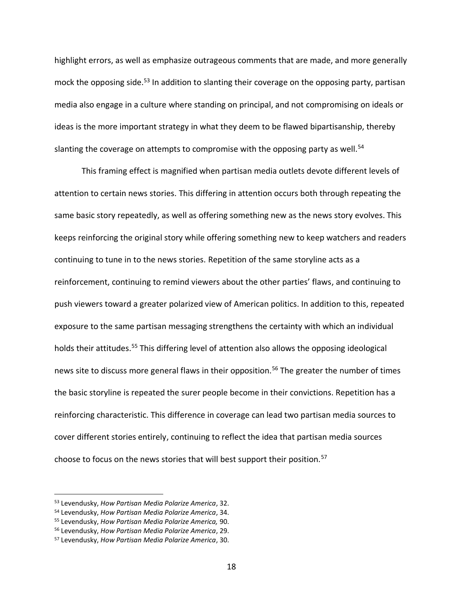highlight errors, as well as emphasize outrageous comments that are made, and more generally mock the opposing side.<sup>53</sup> In addition to slanting their coverage on the opposing party, partisan media also engage in a culture where standing on principal, and not compromising on ideals or ideas is the more important strategy in what they deem to be flawed bipartisanship, thereby slanting the coverage on attempts to compromise with the opposing party as well.<sup>54</sup>

This framing effect is magnified when partisan media outlets devote different levels of attention to certain news stories. This differing in attention occurs both through repeating the same basic story repeatedly, as well as offering something new as the news story evolves. This keeps reinforcing the original story while offering something new to keep watchers and readers continuing to tune in to the news stories. Repetition of the same storyline acts as a reinforcement, continuing to remind viewers about the other parties' flaws, and continuing to push viewers toward a greater polarized view of American politics. In addition to this, repeated exposure to the same partisan messaging strengthens the certainty with which an individual holds their attitudes.<sup>55</sup> This differing level of attention also allows the opposing ideological news site to discuss more general flaws in their opposition.<sup>56</sup> The greater the number of times the basic storyline is repeated the surer people become in their convictions. Repetition has a reinforcing characteristic. This difference in coverage can lead two partisan media sources to cover different stories entirely, continuing to reflect the idea that partisan media sources choose to focus on the news stories that will best support their position.<sup>57</sup>

<sup>53</sup> Levendusky, *How Partisan Media Polarize America*, 32.

<sup>54</sup> Levendusky, *How Partisan Media Polarize America*, 34.

<sup>55</sup> Levendusky, *How Partisan Media Polarize America,* 90.

<sup>56</sup> Levendusky, *How Partisan Media Polarize America*, 29.

<sup>57</sup> Levendusky, *How Partisan Media Polarize America*, 30.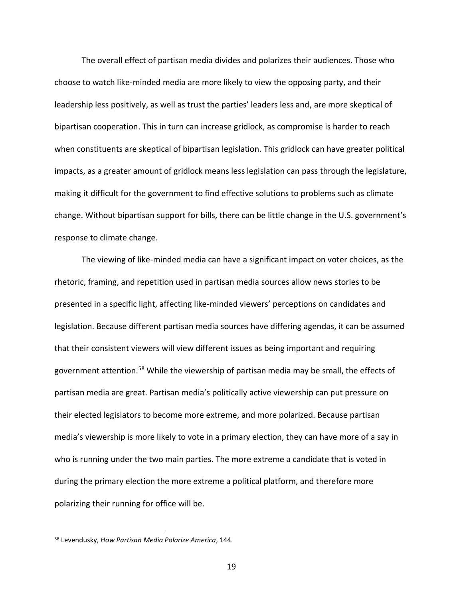The overall effect of partisan media divides and polarizes their audiences. Those who choose to watch like-minded media are more likely to view the opposing party, and their leadership less positively, as well as trust the parties' leaders less and, are more skeptical of bipartisan cooperation. This in turn can increase gridlock, as compromise is harder to reach when constituents are skeptical of bipartisan legislation. This gridlock can have greater political impacts, as a greater amount of gridlock means less legislation can pass through the legislature, making it difficult for the government to find effective solutions to problems such as climate change. Without bipartisan support for bills, there can be little change in the U.S. government's response to climate change.

The viewing of like-minded media can have a significant impact on voter choices, as the rhetoric, framing, and repetition used in partisan media sources allow news stories to be presented in a specific light, affecting like-minded viewers' perceptions on candidates and legislation. Because different partisan media sources have differing agendas, it can be assumed that their consistent viewers will view different issues as being important and requiring government attention.<sup>58</sup> While the viewership of partisan media may be small, the effects of partisan media are great. Partisan media's politically active viewership can put pressure on their elected legislators to become more extreme, and more polarized. Because partisan media's viewership is more likely to vote in a primary election, they can have more of a say in who is running under the two main parties. The more extreme a candidate that is voted in during the primary election the more extreme a political platform, and therefore more polarizing their running for office will be.

<sup>58</sup> Levendusky, *How Partisan Media Polarize America*, 144.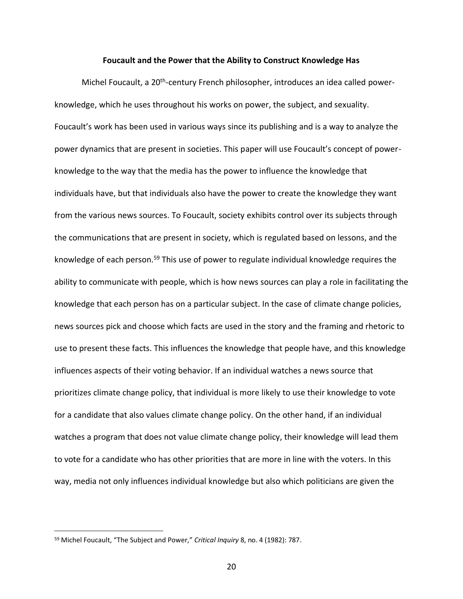#### **Foucault and the Power that the Ability to Construct Knowledge Has**

Michel Foucault, a 20<sup>th</sup>-century French philosopher, introduces an idea called powerknowledge, which he uses throughout his works on power, the subject, and sexuality. Foucault's work has been used in various ways since its publishing and is a way to analyze the power dynamics that are present in societies. This paper will use Foucault's concept of powerknowledge to the way that the media has the power to influence the knowledge that individuals have, but that individuals also have the power to create the knowledge they want from the various news sources. To Foucault, society exhibits control over its subjects through the communications that are present in society, which is regulated based on lessons, and the knowledge of each person.<sup>59</sup> This use of power to regulate individual knowledge requires the ability to communicate with people, which is how news sources can play a role in facilitating the knowledge that each person has on a particular subject. In the case of climate change policies, news sources pick and choose which facts are used in the story and the framing and rhetoric to use to present these facts. This influences the knowledge that people have, and this knowledge influences aspects of their voting behavior. If an individual watches a news source that prioritizes climate change policy, that individual is more likely to use their knowledge to vote for a candidate that also values climate change policy. On the other hand, if an individual watches a program that does not value climate change policy, their knowledge will lead them to vote for a candidate who has other priorities that are more in line with the voters. In this way, media not only influences individual knowledge but also which politicians are given the

<sup>59</sup> Michel Foucault, "The Subject and Power," *Critical Inquiry* 8, no. 4 (1982): 787.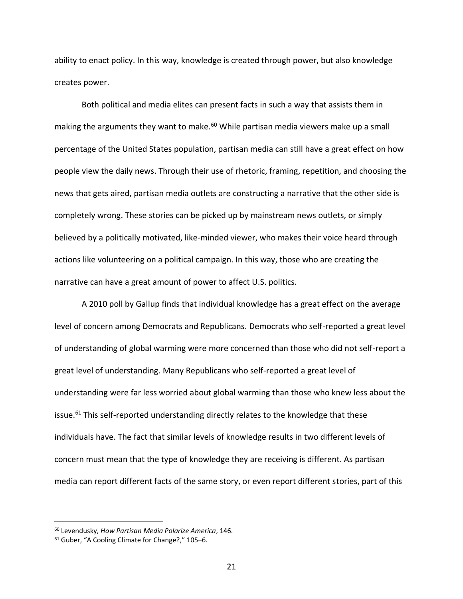ability to enact policy. In this way, knowledge is created through power, but also knowledge creates power.

Both political and media elites can present facts in such a way that assists them in making the arguments they want to make.<sup>60</sup> While partisan media viewers make up a small percentage of the United States population, partisan media can still have a great effect on how people view the daily news. Through their use of rhetoric, framing, repetition, and choosing the news that gets aired, partisan media outlets are constructing a narrative that the other side is completely wrong. These stories can be picked up by mainstream news outlets, or simply believed by a politically motivated, like-minded viewer, who makes their voice heard through actions like volunteering on a political campaign. In this way, those who are creating the narrative can have a great amount of power to affect U.S. politics.

A 2010 poll by Gallup finds that individual knowledge has a great effect on the average level of concern among Democrats and Republicans. Democrats who self-reported a great level of understanding of global warming were more concerned than those who did not self-report a great level of understanding. Many Republicans who self-reported a great level of understanding were far less worried about global warming than those who knew less about the issue. $61$  This self-reported understanding directly relates to the knowledge that these individuals have. The fact that similar levels of knowledge results in two different levels of concern must mean that the type of knowledge they are receiving is different. As partisan media can report different facts of the same story, or even report different stories, part of this

<sup>60</sup> Levendusky, *How Partisan Media Polarize America*, 146.

<sup>61</sup> Guber, "A Cooling Climate for Change?," 105–6.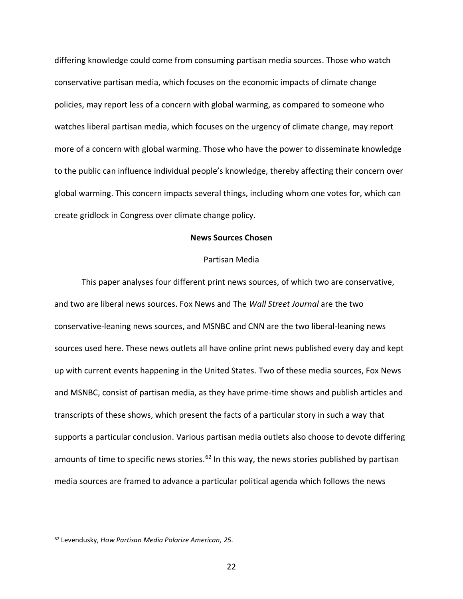differing knowledge could come from consuming partisan media sources. Those who watch conservative partisan media, which focuses on the economic impacts of climate change policies, may report less of a concern with global warming, as compared to someone who watches liberal partisan media, which focuses on the urgency of climate change, may report more of a concern with global warming. Those who have the power to disseminate knowledge to the public can influence individual people's knowledge, thereby affecting their concern over global warming. This concern impacts several things, including whom one votes for, which can create gridlock in Congress over climate change policy.

## **News Sources Chosen**

#### Partisan Media

This paper analyses four different print news sources, of which two are conservative, and two are liberal news sources. Fox News and The *Wall Street Journal* are the two conservative-leaning news sources, and MSNBC and CNN are the two liberal-leaning news sources used here. These news outlets all have online print news published every day and kept up with current events happening in the United States. Two of these media sources, Fox News and MSNBC, consist of partisan media, as they have prime-time shows and publish articles and transcripts of these shows, which present the facts of a particular story in such a way that supports a particular conclusion. Various partisan media outlets also choose to devote differing amounts of time to specific news stories.<sup>62</sup> In this way, the news stories published by partisan media sources are framed to advance a particular political agenda which follows the news

<sup>62</sup> Levendusky, *How Partisan Media Polarize American, 25*.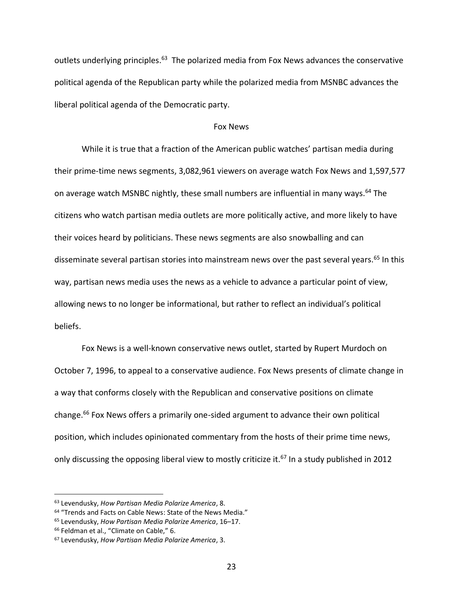outlets underlying principles.<sup>63</sup> The polarized media from Fox News advances the conservative political agenda of the Republican party while the polarized media from MSNBC advances the liberal political agenda of the Democratic party.

#### Fox News

While it is true that a fraction of the American public watches' partisan media during their prime-time news segments, 3,082,961 viewers on average watch Fox News and 1,597,577 on average watch MSNBC nightly, these small numbers are influential in many ways.<sup>64</sup> The citizens who watch partisan media outlets are more politically active, and more likely to have their voices heard by politicians. These news segments are also snowballing and can disseminate several partisan stories into mainstream news over the past several years.<sup>65</sup> In this way, partisan news media uses the news as a vehicle to advance a particular point of view, allowing news to no longer be informational, but rather to reflect an individual's political beliefs.

Fox News is a well-known conservative news outlet, started by Rupert Murdoch on October 7, 1996, to appeal to a conservative audience. Fox News presents of climate change in a way that conforms closely with the Republican and conservative positions on climate change.<sup>66</sup> Fox News offers a primarily one-sided argument to advance their own political position, which includes opinionated commentary from the hosts of their prime time news, only discussing the opposing liberal view to mostly criticize it.<sup>67</sup> In a study published in 2012

<sup>63</sup> Levendusky, *How Partisan Media Polarize America*, 8.

<sup>64</sup> "Trends and Facts on Cable News: State of the News Media."

<sup>65</sup> Levendusky, *How Partisan Media Polarize America*, 16–17.

<sup>66</sup> Feldman et al., "Climate on Cable," 6.

<sup>67</sup> Levendusky, *How Partisan Media Polarize America*, 3.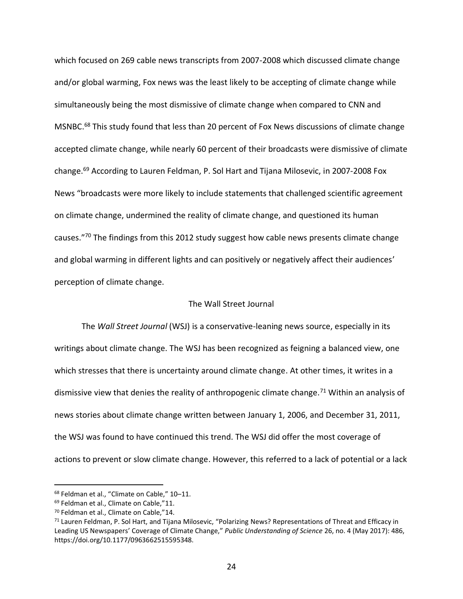which focused on 269 cable news transcripts from 2007-2008 which discussed climate change and/or global warming, Fox news was the least likely to be accepting of climate change while simultaneously being the most dismissive of climate change when compared to CNN and MSNBC.<sup>68</sup> This study found that less than 20 percent of Fox News discussions of climate change accepted climate change, while nearly 60 percent of their broadcasts were dismissive of climate change.<sup>69</sup> According to Lauren Feldman, P. Sol Hart and Tijana Milosevic, in 2007-2008 Fox News "broadcasts were more likely to include statements that challenged scientific agreement on climate change, undermined the reality of climate change, and questioned its human causes."<sup>70</sup> The findings from this 2012 study suggest how cable news presents climate change and global warming in different lights and can positively or negatively affect their audiences' perception of climate change.

## The Wall Street Journal

The *Wall Street Journal* (WSJ) is a conservative-leaning news source, especially in its writings about climate change. The WSJ has been recognized as feigning a balanced view, one which stresses that there is uncertainty around climate change. At other times, it writes in a dismissive view that denies the reality of anthropogenic climate change.<sup>71</sup> Within an analysis of news stories about climate change written between January 1, 2006, and December 31, 2011, the WSJ was found to have continued this trend. The WSJ did offer the most coverage of actions to prevent or slow climate change. However, this referred to a lack of potential or a lack

<sup>68</sup> Feldman et al., "Climate on Cable," 10–11.

<sup>69</sup> Feldman et al., Climate on Cable,"11.

<sup>70</sup> Feldman et al., Climate on Cable,"14.

<sup>71</sup> Lauren Feldman, P. Sol Hart, and Tijana Milosevic, "Polarizing News? Representations of Threat and Efficacy in Leading US Newspapers' Coverage of Climate Change," *Public Understanding of Science* 26, no. 4 (May 2017): 486, https://doi.org/10.1177/0963662515595348.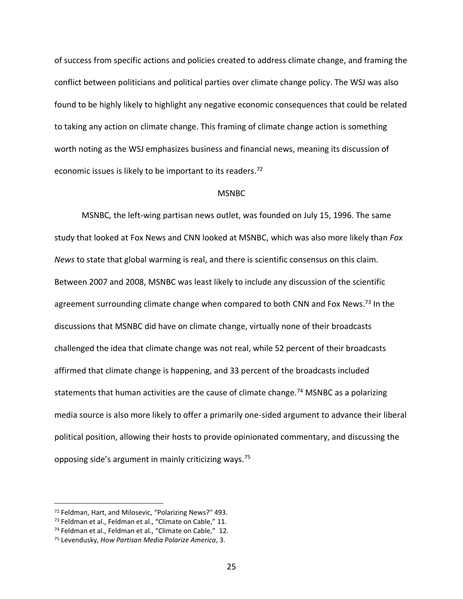of success from specific actions and policies created to address climate change, and framing the conflict between politicians and political parties over climate change policy. The WSJ was also found to be highly likely to highlight any negative economic consequences that could be related to taking any action on climate change. This framing of climate change action is something worth noting as the WSJ emphasizes business and financial news, meaning its discussion of economic issues is likely to be important to its readers.<sup>72</sup>

#### MSNBC

MSNBC*,* the left-wing partisan news outlet, was founded on July 15, 1996. The same study that looked at Fox News and CNN looked at MSNBC, which was also more likely than *Fox News* to state that global warming is real, and there is scientific consensus on this claim. Between 2007 and 2008, MSNBC was least likely to include any discussion of the scientific agreement surrounding climate change when compared to both CNN and Fox News.<sup>73</sup> In the discussions that MSNBC did have on climate change, virtually none of their broadcasts challenged the idea that climate change was not real, while 52 percent of their broadcasts affirmed that climate change is happening, and 33 percent of the broadcasts included statements that human activities are the cause of climate change.<sup>74</sup> MSNBC as a polarizing media source is also more likely to offer a primarily one-sided argument to advance their liberal political position, allowing their hosts to provide opinionated commentary, and discussing the opposing side's argument in mainly criticizing ways.<sup>75</sup>

<sup>72</sup> Feldman, Hart, and Milosevic, "Polarizing News?" 493.

<sup>73</sup> Feldman et al., Feldman et al., "Climate on Cable," 11.

<sup>74</sup> Feldman et al., Feldman et al., "Climate on Cable," 12.

<sup>75</sup> Levendusky, *How Partisan Media Polarize America*, 3.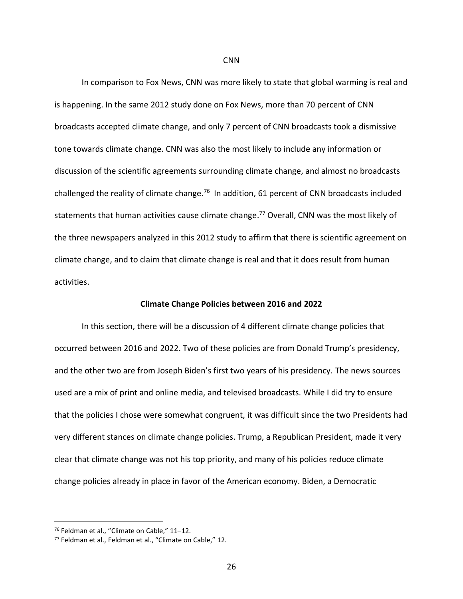In comparison to Fox News, CNN was more likely to state that global warming is real and is happening. In the same 2012 study done on Fox News, more than 70 percent of CNN broadcasts accepted climate change, and only 7 percent of CNN broadcasts took a dismissive tone towards climate change. CNN was also the most likely to include any information or discussion of the scientific agreements surrounding climate change, and almost no broadcasts challenged the reality of climate change.<sup>76</sup> In addition, 61 percent of CNN broadcasts included statements that human activities cause climate change.<sup>77</sup> Overall, CNN was the most likely of the three newspapers analyzed in this 2012 study to affirm that there is scientific agreement on climate change, and to claim that climate change is real and that it does result from human activities.

#### **Climate Change Policies between 2016 and 2022**

In this section, there will be a discussion of 4 different climate change policies that occurred between 2016 and 2022. Two of these policies are from Donald Trump's presidency, and the other two are from Joseph Biden's first two years of his presidency. The news sources used are a mix of print and online media, and televised broadcasts. While I did try to ensure that the policies I chose were somewhat congruent, it was difficult since the two Presidents had very different stances on climate change policies. Trump, a Republican President, made it very clear that climate change was not his top priority, and many of his policies reduce climate change policies already in place in favor of the American economy. Biden, a Democratic

<sup>76</sup> Feldman et al., "Climate on Cable," 11–12.

<sup>77</sup> Feldman et al., Feldman et al., "Climate on Cable," 12.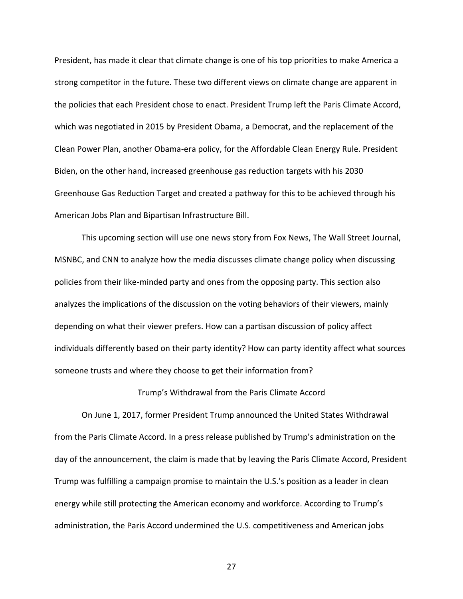President, has made it clear that climate change is one of his top priorities to make America a strong competitor in the future. These two different views on climate change are apparent in the policies that each President chose to enact. President Trump left the Paris Climate Accord, which was negotiated in 2015 by President Obama, a Democrat, and the replacement of the Clean Power Plan, another Obama-era policy, for the Affordable Clean Energy Rule. President Biden, on the other hand, increased greenhouse gas reduction targets with his 2030 Greenhouse Gas Reduction Target and created a pathway for this to be achieved through his American Jobs Plan and Bipartisan Infrastructure Bill.

This upcoming section will use one news story from Fox News, The Wall Street Journal, MSNBC, and CNN to analyze how the media discusses climate change policy when discussing policies from their like-minded party and ones from the opposing party. This section also analyzes the implications of the discussion on the voting behaviors of their viewers, mainly depending on what their viewer prefers. How can a partisan discussion of policy affect individuals differently based on their party identity? How can party identity affect what sources someone trusts and where they choose to get their information from?

## Trump's Withdrawal from the Paris Climate Accord

On June 1, 2017, former President Trump announced the United States Withdrawal from the Paris Climate Accord. In a press release published by Trump's administration on the day of the announcement, the claim is made that by leaving the Paris Climate Accord, President Trump was fulfilling a campaign promise to maintain the U.S.'s position as a leader in clean energy while still protecting the American economy and workforce. According to Trump's administration, the Paris Accord undermined the U.S. competitiveness and American jobs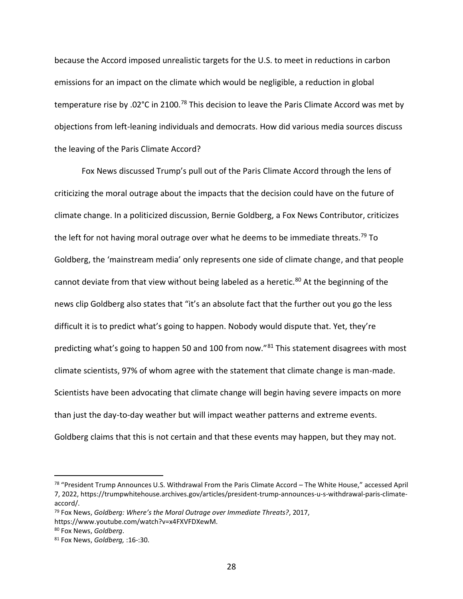because the Accord imposed unrealistic targets for the U.S. to meet in reductions in carbon emissions for an impact on the climate which would be negligible, a reduction in global temperature rise by .02°C in 2100.<sup>78</sup> This decision to leave the Paris Climate Accord was met by objections from left-leaning individuals and democrats. How did various media sources discuss the leaving of the Paris Climate Accord?

Fox News discussed Trump's pull out of the Paris Climate Accord through the lens of criticizing the moral outrage about the impacts that the decision could have on the future of climate change. In a politicized discussion, Bernie Goldberg, a Fox News Contributor, criticizes the left for not having moral outrage over what he deems to be immediate threats.<sup>79</sup> To Goldberg, the 'mainstream media' only represents one side of climate change, and that people cannot deviate from that view without being labeled as a heretic.<sup>80</sup> At the beginning of the news clip Goldberg also states that "it's an absolute fact that the further out you go the less difficult it is to predict what's going to happen. Nobody would dispute that. Yet, they're predicting what's going to happen 50 and 100 from now."<sup>81</sup> This statement disagrees with most climate scientists, 97% of whom agree with the statement that climate change is man-made. Scientists have been advocating that climate change will begin having severe impacts on more than just the day-to-day weather but will impact weather patterns and extreme events. Goldberg claims that this is not certain and that these events may happen, but they may not.

<sup>78</sup> "President Trump Announces U.S. Withdrawal From the Paris Climate Accord – The White House," accessed April 7, 2022, https://trumpwhitehouse.archives.gov/articles/president-trump-announces-u-s-withdrawal-paris-climateaccord/.

<sup>79</sup> Fox News, *Goldberg: Where's the Moral Outrage over Immediate Threats?*, 2017,

https://www.youtube.com/watch?v=x4FXVFDXewM.

<sup>80</sup> Fox News, *Goldberg*.

<sup>81</sup> Fox News, *Goldberg,* :16-:30.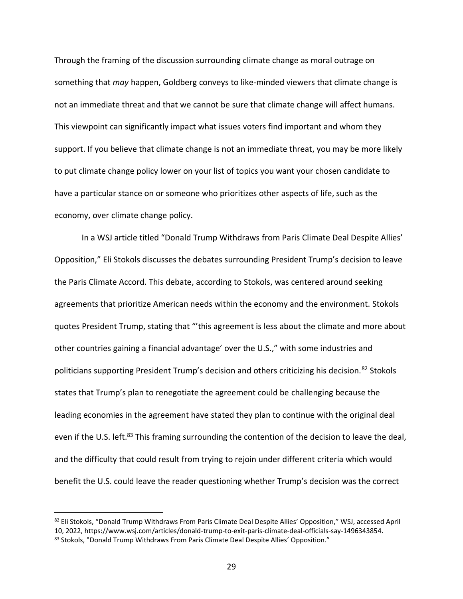Through the framing of the discussion surrounding climate change as moral outrage on something that *may* happen, Goldberg conveys to like-minded viewers that climate change is not an immediate threat and that we cannot be sure that climate change will affect humans. This viewpoint can significantly impact what issues voters find important and whom they support. If you believe that climate change is not an immediate threat, you may be more likely to put climate change policy lower on your list of topics you want your chosen candidate to have a particular stance on or someone who prioritizes other aspects of life, such as the economy, over climate change policy.

In a WSJ article titled "Donald Trump Withdraws from Paris Climate Deal Despite Allies' Opposition," Eli Stokols discusses the debates surrounding President Trump's decision to leave the Paris Climate Accord. This debate, according to Stokols, was centered around seeking agreements that prioritize American needs within the economy and the environment. Stokols quotes President Trump, stating that "'this agreement is less about the climate and more about other countries gaining a financial advantage' over the U.S.," with some industries and politicians supporting President Trump's decision and others criticizing his decision.<sup>82</sup> Stokols states that Trump's plan to renegotiate the agreement could be challenging because the leading economies in the agreement have stated they plan to continue with the original deal even if the U.S. left.<sup>83</sup> This framing surrounding the contention of the decision to leave the deal, and the difficulty that could result from trying to rejoin under different criteria which would benefit the U.S. could leave the reader questioning whether Trump's decision was the correct

<sup>82</sup> Eli Stokols, "Donald Trump Withdraws From Paris Climate Deal Despite Allies' Opposition," WSJ, accessed April 10, 2022, https://www.wsj.com/articles/donald-trump-to-exit-paris-climate-deal-officials-say-1496343854. 83 Stokols, "Donald Trump Withdraws From Paris Climate Deal Despite Allies' Opposition."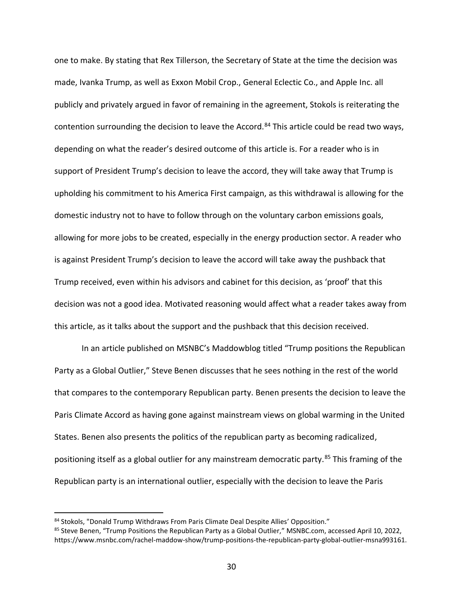one to make. By stating that Rex Tillerson, the Secretary of State at the time the decision was made, Ivanka Trump, as well as Exxon Mobil Crop., General Eclectic Co., and Apple Inc. all publicly and privately argued in favor of remaining in the agreement, Stokols is reiterating the contention surrounding the decision to leave the Accord.<sup>84</sup> This article could be read two ways, depending on what the reader's desired outcome of this article is. For a reader who is in support of President Trump's decision to leave the accord, they will take away that Trump is upholding his commitment to his America First campaign, as this withdrawal is allowing for the domestic industry not to have to follow through on the voluntary carbon emissions goals, allowing for more jobs to be created, especially in the energy production sector. A reader who is against President Trump's decision to leave the accord will take away the pushback that Trump received, even within his advisors and cabinet for this decision, as 'proof' that this decision was not a good idea. Motivated reasoning would affect what a reader takes away from this article, as it talks about the support and the pushback that this decision received.

In an article published on MSNBC's Maddowblog titled "Trump positions the Republican Party as a Global Outlier," Steve Benen discusses that he sees nothing in the rest of the world that compares to the contemporary Republican party. Benen presents the decision to leave the Paris Climate Accord as having gone against mainstream views on global warming in the United States. Benen also presents the politics of the republican party as becoming radicalized, positioning itself as a global outlier for any mainstream democratic party.<sup>85</sup> This framing of the Republican party is an international outlier, especially with the decision to leave the Paris

<sup>84</sup> Stokols, "Donald Trump Withdraws From Paris Climate Deal Despite Allies' Opposition."

<sup>85</sup> Steve Benen, "Trump Positions the Republican Party as a Global Outlier," MSNBC.com, accessed April 10, 2022, https://www.msnbc.com/rachel-maddow-show/trump-positions-the-republican-party-global-outlier-msna993161.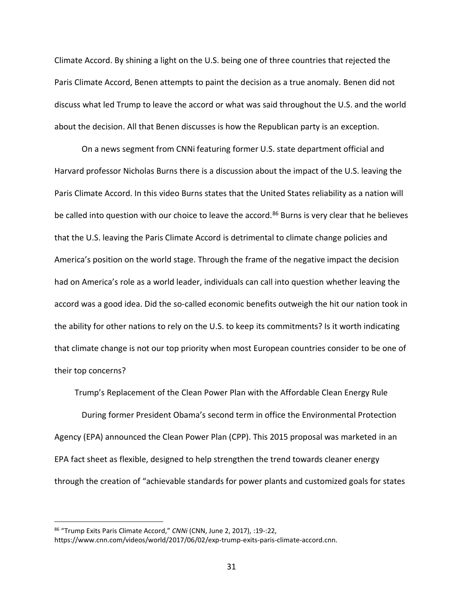Climate Accord. By shining a light on the U.S. being one of three countries that rejected the Paris Climate Accord, Benen attempts to paint the decision as a true anomaly. Benen did not discuss what led Trump to leave the accord or what was said throughout the U.S. and the world about the decision. All that Benen discusses is how the Republican party is an exception.

On a news segment from CNNi featuring former U.S. state department official and Harvard professor Nicholas Burns there is a discussion about the impact of the U.S. leaving the Paris Climate Accord. In this video Burns states that the United States reliability as a nation will be called into question with our choice to leave the accord.<sup>86</sup> Burns is very clear that he believes that the U.S. leaving the Paris Climate Accord is detrimental to climate change policies and America's position on the world stage. Through the frame of the negative impact the decision had on America's role as a world leader, individuals can call into question whether leaving the accord was a good idea. Did the so-called economic benefits outweigh the hit our nation took in the ability for other nations to rely on the U.S. to keep its commitments? Is it worth indicating that climate change is not our top priority when most European countries consider to be one of their top concerns?

Trump's Replacement of the Clean Power Plan with the Affordable Clean Energy Rule During former President Obama's second term in office the Environmental Protection Agency (EPA) announced the Clean Power Plan (CPP). This 2015 proposal was marketed in an EPA fact sheet as flexible, designed to help strengthen the trend towards cleaner energy through the creation of "achievable standards for power plants and customized goals for states

<sup>86</sup> "Trump Exits Paris Climate Accord," *CNNi* (CNN, June 2, 2017), :19-:22, https://www.cnn.com/videos/world/2017/06/02/exp-trump-exits-paris-climate-accord.cnn.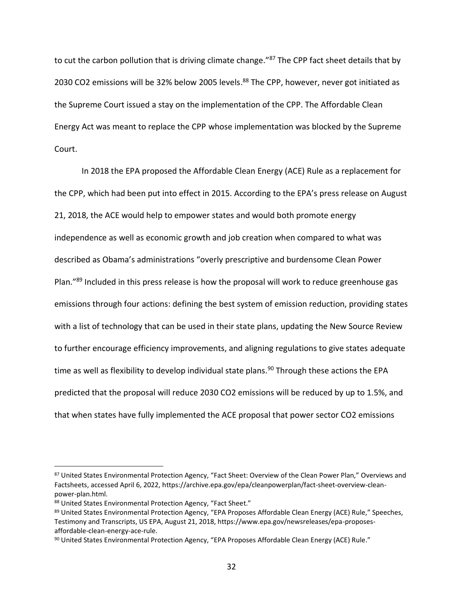to cut the carbon pollution that is driving climate change."87 The CPP fact sheet details that by 2030 CO2 emissions will be 32% below 2005 levels.<sup>88</sup> The CPP, however, never got initiated as the Supreme Court issued a stay on the implementation of the CPP. The Affordable Clean Energy Act was meant to replace the CPP whose implementation was blocked by the Supreme Court.

In 2018 the EPA proposed the Affordable Clean Energy (ACE) Rule as a replacement for the CPP, which had been put into effect in 2015. According to the EPA's press release on August 21, 2018, the ACE would help to empower states and would both promote energy independence as well as economic growth and job creation when compared to what was described as Obama's administrations "overly prescriptive and burdensome Clean Power Plan."<sup>89</sup> Included in this press release is how the proposal will work to reduce greenhouse gas emissions through four actions: defining the best system of emission reduction, providing states with a list of technology that can be used in their state plans, updating the New Source Review to further encourage efficiency improvements, and aligning regulations to give states adequate time as well as flexibility to develop individual state plans.<sup>90</sup> Through these actions the EPA predicted that the proposal will reduce 2030 CO2 emissions will be reduced by up to 1.5%, and that when states have fully implemented the ACE proposal that power sector CO2 emissions

<sup>87</sup> United States Environmental Protection Agency, "Fact Sheet: Overview of the Clean Power Plan," Overviews and Factsheets, accessed April 6, 2022, https://archive.epa.gov/epa/cleanpowerplan/fact-sheet-overview-cleanpower-plan.html.

<sup>88</sup> United States Environmental Protection Agency, "Fact Sheet."

<sup>89</sup> United States Environmental Protection Agency, "EPA Proposes Affordable Clean Energy (ACE) Rule," Speeches, Testimony and Transcripts, US EPA, August 21, 2018, https://www.epa.gov/newsreleases/epa-proposesaffordable-clean-energy-ace-rule.

<sup>90</sup> United States Environmental Protection Agency, "EPA Proposes Affordable Clean Energy (ACE) Rule."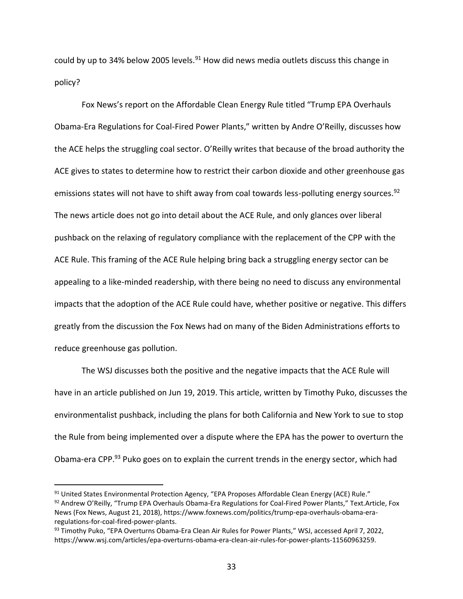could by up to 34% below 2005 levels. $91$  How did news media outlets discuss this change in policy?

Fox News's report on the Affordable Clean Energy Rule titled "Trump EPA Overhauls Obama-Era Regulations for Coal-Fired Power Plants," written by Andre O'Reilly, discusses how the ACE helps the struggling coal sector. O'Reilly writes that because of the broad authority the ACE gives to states to determine how to restrict their carbon dioxide and other greenhouse gas emissions states will not have to shift away from coal towards less-polluting energy sources.<sup>92</sup> The news article does not go into detail about the ACE Rule, and only glances over liberal pushback on the relaxing of regulatory compliance with the replacement of the CPP with the ACE Rule. This framing of the ACE Rule helping bring back a struggling energy sector can be appealing to a like-minded readership, with there being no need to discuss any environmental impacts that the adoption of the ACE Rule could have, whether positive or negative. This differs greatly from the discussion the Fox News had on many of the Biden Administrations efforts to reduce greenhouse gas pollution.

The WSJ discusses both the positive and the negative impacts that the ACE Rule will have in an article published on Jun 19, 2019. This article, written by Timothy Puko, discusses the environmentalist pushback, including the plans for both California and New York to sue to stop the Rule from being implemented over a dispute where the EPA has the power to overturn the Obama-era CPP.<sup>93</sup> Puko goes on to explain the current trends in the energy sector, which had

<sup>91</sup> United States Environmental Protection Agency, "EPA Proposes Affordable Clean Energy (ACE) Rule." 92 Andrew O'Reilly, "Trump EPA Overhauls Obama-Era Regulations for Coal-Fired Power Plants," Text.Article, Fox News (Fox News, August 21, 2018), https://www.foxnews.com/politics/trump-epa-overhauls-obama-eraregulations-for-coal-fired-power-plants.

<sup>93</sup> Timothy Puko, "EPA Overturns Obama-Era Clean Air Rules for Power Plants," WSJ, accessed April 7, 2022, https://www.wsj.com/articles/epa-overturns-obama-era-clean-air-rules-for-power-plants-11560963259.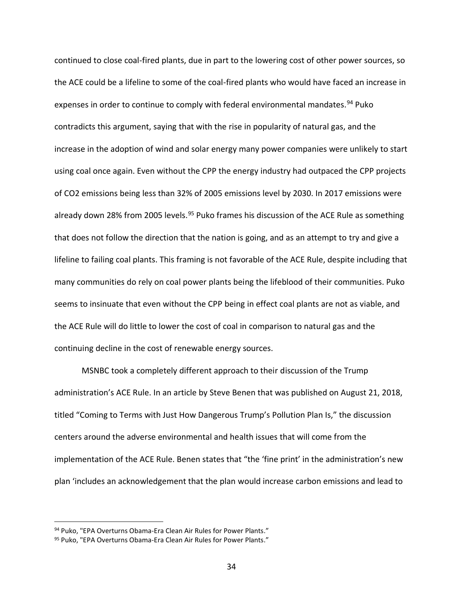continued to close coal-fired plants, due in part to the lowering cost of other power sources, so the ACE could be a lifeline to some of the coal-fired plants who would have faced an increase in expenses in order to continue to comply with federal environmental mandates.<sup>94</sup> Puko contradicts this argument, saying that with the rise in popularity of natural gas, and the increase in the adoption of wind and solar energy many power companies were unlikely to start using coal once again. Even without the CPP the energy industry had outpaced the CPP projects of CO2 emissions being less than 32% of 2005 emissions level by 2030. In 2017 emissions were already down 28% from 2005 levels.<sup>95</sup> Puko frames his discussion of the ACE Rule as something that does not follow the direction that the nation is going, and as an attempt to try and give a lifeline to failing coal plants. This framing is not favorable of the ACE Rule, despite including that many communities do rely on coal power plants being the lifeblood of their communities. Puko seems to insinuate that even without the CPP being in effect coal plants are not as viable, and the ACE Rule will do little to lower the cost of coal in comparison to natural gas and the continuing decline in the cost of renewable energy sources.

MSNBC took a completely different approach to their discussion of the Trump administration's ACE Rule. In an article by Steve Benen that was published on August 21, 2018, titled "Coming to Terms with Just How Dangerous Trump's Pollution Plan Is," the discussion centers around the adverse environmental and health issues that will come from the implementation of the ACE Rule. Benen states that "the 'fine print' in the administration's new plan 'includes an acknowledgement that the plan would increase carbon emissions and lead to

<sup>94</sup> Puko, "EPA Overturns Obama-Era Clean Air Rules for Power Plants."

<sup>95</sup> Puko, "EPA Overturns Obama-Era Clean Air Rules for Power Plants."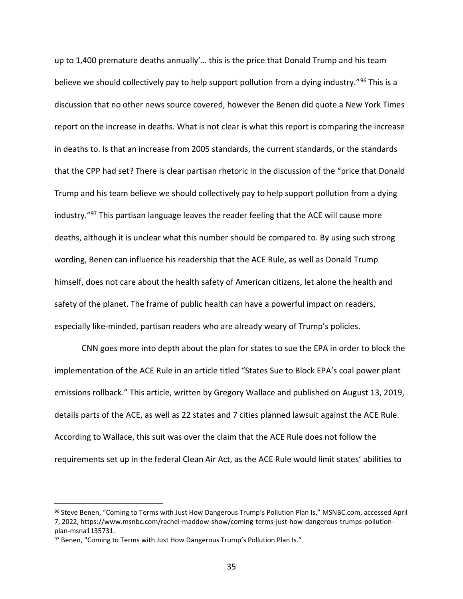up to 1,400 premature deaths annually'… this is the price that Donald Trump and his team believe we should collectively pay to help support pollution from a dying industry."<sup>96</sup> This is a discussion that no other news source covered, however the Benen did quote a New York Times report on the increase in deaths. What is not clear is what this report is comparing the increase in deaths to. Is that an increase from 2005 standards, the current standards, or the standards that the CPP had set? There is clear partisan rhetoric in the discussion of the "price that Donald Trump and his team believe we should collectively pay to help support pollution from a dying industry."<sup>97</sup> This partisan language leaves the reader feeling that the ACE will cause more deaths, although it is unclear what this number should be compared to. By using such strong wording, Benen can influence his readership that the ACE Rule, as well as Donald Trump himself, does not care about the health safety of American citizens, let alone the health and safety of the planet. The frame of public health can have a powerful impact on readers, especially like-minded, partisan readers who are already weary of Trump's policies.

CNN goes more into depth about the plan for states to sue the EPA in order to block the implementation of the ACE Rule in an article titled "States Sue to Block EPA's coal power plant emissions rollback." This article, written by Gregory Wallace and published on August 13, 2019, details parts of the ACE, as well as 22 states and 7 cities planned lawsuit against the ACE Rule. According to Wallace, this suit was over the claim that the ACE Rule does not follow the requirements set up in the federal Clean Air Act, as the ACE Rule would limit states' abilities to

<sup>96</sup> Steve Benen, "Coming to Terms with Just How Dangerous Trump's Pollution Plan Is," MSNBC.com, accessed April 7, 2022, https://www.msnbc.com/rachel-maddow-show/coming-terms-just-how-dangerous-trumps-pollutionplan-msna1135731.

<sup>97</sup> Benen, "Coming to Terms with Just How Dangerous Trump's Pollution Plan Is."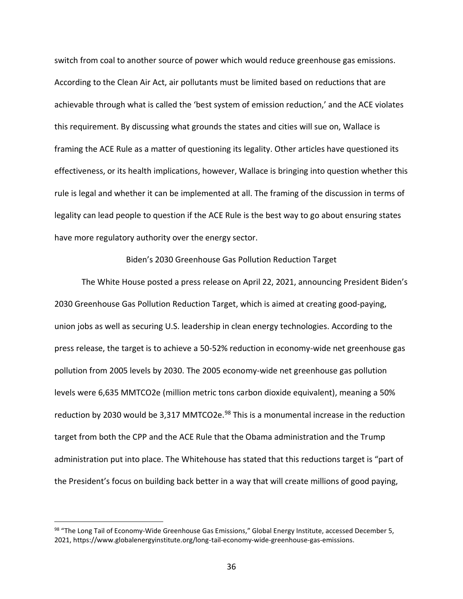switch from coal to another source of power which would reduce greenhouse gas emissions. According to the Clean Air Act, air pollutants must be limited based on reductions that are achievable through what is called the 'best system of emission reduction,' and the ACE violates this requirement. By discussing what grounds the states and cities will sue on, Wallace is framing the ACE Rule as a matter of questioning its legality. Other articles have questioned its effectiveness, or its health implications, however, Wallace is bringing into question whether this rule is legal and whether it can be implemented at all. The framing of the discussion in terms of legality can lead people to question if the ACE Rule is the best way to go about ensuring states have more regulatory authority over the energy sector.

#### Biden's 2030 Greenhouse Gas Pollution Reduction Target

The White House posted a press release on April 22, 2021, announcing President Biden's 2030 Greenhouse Gas Pollution Reduction Target, which is aimed at creating good-paying, union jobs as well as securing U.S. leadership in clean energy technologies. According to the press release, the target is to achieve a 50-52% reduction in economy-wide net greenhouse gas pollution from 2005 levels by 2030. The 2005 economy-wide net greenhouse gas pollution levels were 6,635 MMTCO2e (million metric tons carbon dioxide equivalent), meaning a 50% reduction by 2030 would be 3,317 MMTCO2e.<sup>98</sup> This is a monumental increase in the reduction target from both the CPP and the ACE Rule that the Obama administration and the Trump administration put into place. The Whitehouse has stated that this reductions target is "part of the President's focus on building back better in a way that will create millions of good paying,

<sup>98 &</sup>quot;The Long Tail of Economy-Wide Greenhouse Gas Emissions," Global Energy Institute, accessed December 5, 2021, https://www.globalenergyinstitute.org/long-tail-economy-wide-greenhouse-gas-emissions.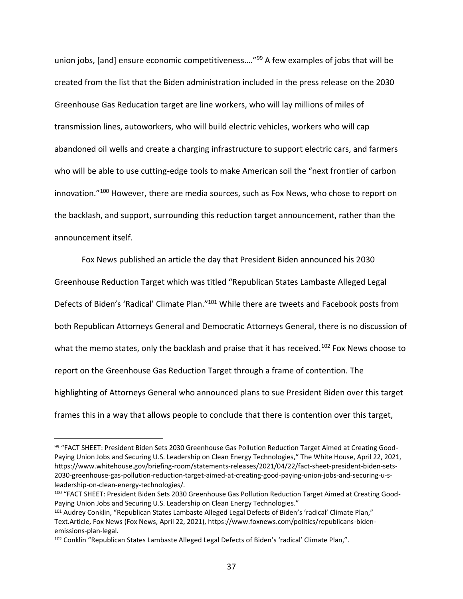union jobs, [and] ensure economic competitiveness...."<sup>99</sup> A few examples of jobs that will be created from the list that the Biden administration included in the press release on the 2030 Greenhouse Gas Reducation target are line workers, who will lay millions of miles of transmission lines, autoworkers, who will build electric vehicles, workers who will cap abandoned oil wells and create a charging infrastructure to support electric cars, and farmers who will be able to use cutting-edge tools to make American soil the "next frontier of carbon innovation."<sup>100</sup> However, there are media sources, such as Fox News, who chose to report on the backlash, and support, surrounding this reduction target announcement, rather than the announcement itself.

Fox News published an article the day that President Biden announced his 2030 Greenhouse Reduction Target which was titled "Republican States Lambaste Alleged Legal Defects of Biden's 'Radical' Climate Plan."<sup>101</sup> While there are tweets and Facebook posts from both Republican Attorneys General and Democratic Attorneys General, there is no discussion of what the memo states, only the backlash and praise that it has received.<sup>102</sup> Fox News choose to report on the Greenhouse Gas Reduction Target through a frame of contention. The highlighting of Attorneys General who announced plans to sue President Biden over this target frames this in a way that allows people to conclude that there is contention over this target,

<sup>99</sup> "FACT SHEET: President Biden Sets 2030 Greenhouse Gas Pollution Reduction Target Aimed at Creating Good-Paying Union Jobs and Securing U.S. Leadership on Clean Energy Technologies," The White House, April 22, 2021, https://www.whitehouse.gov/briefing-room/statements-releases/2021/04/22/fact-sheet-president-biden-sets-2030-greenhouse-gas-pollution-reduction-target-aimed-at-creating-good-paying-union-jobs-and-securing-u-sleadership-on-clean-energy-technologies/.

<sup>100</sup> "FACT SHEET: President Biden Sets 2030 Greenhouse Gas Pollution Reduction Target Aimed at Creating Good-Paying Union Jobs and Securing U.S. Leadership on Clean Energy Technologies."

<sup>101</sup> Audrey Conklin, "Republican States Lambaste Alleged Legal Defects of Biden's 'radical' Climate Plan," Text.Article, Fox News (Fox News, April 22, 2021), https://www.foxnews.com/politics/republicans-bidenemissions-plan-legal.

<sup>&</sup>lt;sup>102</sup> Conklin "Republican States Lambaste Alleged Legal Defects of Biden's 'radical' Climate Plan,".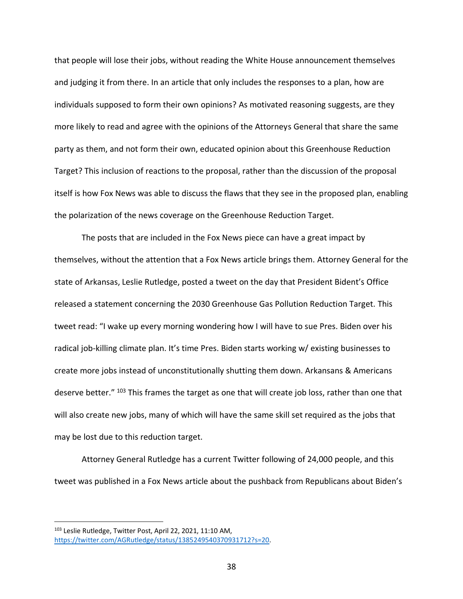that people will lose their jobs, without reading the White House announcement themselves and judging it from there. In an article that only includes the responses to a plan, how are individuals supposed to form their own opinions? As motivated reasoning suggests, are they more likely to read and agree with the opinions of the Attorneys General that share the same party as them, and not form their own, educated opinion about this Greenhouse Reduction Target? This inclusion of reactions to the proposal, rather than the discussion of the proposal itself is how Fox News was able to discuss the flaws that they see in the proposed plan, enabling the polarization of the news coverage on the Greenhouse Reduction Target.

The posts that are included in the Fox News piece can have a great impact by themselves, without the attention that a Fox News article brings them. Attorney General for the state of Arkansas, Leslie Rutledge, posted a tweet on the day that President Bident's Office released a statement concerning the 2030 Greenhouse Gas Pollution Reduction Target. This tweet read: "I wake up every morning wondering how I will have to sue Pres. Biden over his radical job-killing climate plan. It's time Pres. Biden starts working w/ existing businesses to create more jobs instead of unconstitutionally shutting them down. Arkansans & Americans deserve better." 103 This frames the target as one that will create job loss, rather than one that will also create new jobs, many of which will have the same skill set required as the jobs that may be lost due to this reduction target.

Attorney General Rutledge has a current Twitter following of 24,000 people, and this tweet was published in a Fox News article about the pushback from Republicans about Biden's

<sup>103</sup> Leslie Rutledge, Twitter Post, April 22, 2021, 11:10 AM, [https://twitter.com/AGRutledge/status/1385249540370931712?s=20.](https://twitter.com/AGRutledge/status/1385249540370931712?s=20)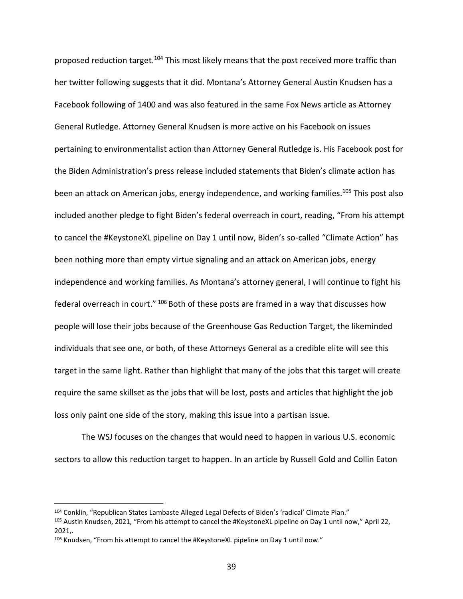proposed reduction target.<sup>104</sup> This most likely means that the post received more traffic than her twitter following suggests that it did. Montana's Attorney General Austin Knudsen has a Facebook following of 1400 and was also featured in the same Fox News article as Attorney General Rutledge. Attorney General Knudsen is more active on his Facebook on issues pertaining to environmentalist action than Attorney General Rutledge is. His Facebook post for the Biden Administration's press release included statements that Biden's climate action has been an attack on American jobs, energy independence, and working families.<sup>105</sup> This post also included another pledge to fight Biden's federal overreach in court, reading, "From his attempt to cancel the #KeystoneXL pipeline on Day 1 until now, Biden's so-called "Climate Action" has been nothing more than empty virtue signaling and an attack on American jobs, energy independence and working families. As Montana's attorney general, I will continue to fight his federal overreach in court." <sup>106</sup> Both of these posts are framed in a way that discusses how people will lose their jobs because of the Greenhouse Gas Reduction Target, the likeminded individuals that see one, or both, of these Attorneys General as a credible elite will see this target in the same light. Rather than highlight that many of the jobs that this target will create require the same skillset as the jobs that will be lost, posts and articles that highlight the job loss only paint one side of the story, making this issue into a partisan issue.

The WSJ focuses on the changes that would need to happen in various U.S. economic sectors to allow this reduction target to happen. In an article by Russell Gold and Collin Eaton

<sup>104</sup> Conklin, "Republican States Lambaste Alleged Legal Defects of Biden's 'radical' Climate Plan."

<sup>105</sup> Austin Knudsen, 2021, "From his attempt to cancel the #KeystoneXL pipeline on Day 1 until now," April 22, 2021,.

<sup>106</sup> Knudsen, "From his attempt to cancel the #KeystoneXL pipeline on Day 1 until now."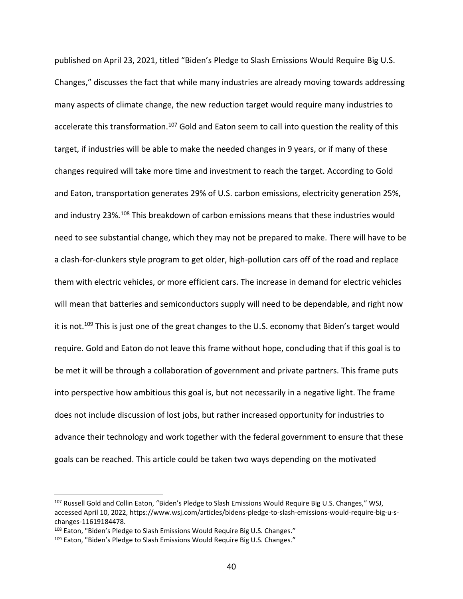published on April 23, 2021, titled "Biden's Pledge to Slash Emissions Would Require Big U.S. Changes," discusses the fact that while many industries are already moving towards addressing many aspects of climate change, the new reduction target would require many industries to accelerate this transformation.<sup>107</sup> Gold and Eaton seem to call into question the reality of this target, if industries will be able to make the needed changes in 9 years, or if many of these changes required will take more time and investment to reach the target. According to Gold and Eaton, transportation generates 29% of U.S. carbon emissions, electricity generation 25%, and industry 23%.<sup>108</sup> This breakdown of carbon emissions means that these industries would need to see substantial change, which they may not be prepared to make. There will have to be a clash-for-clunkers style program to get older, high-pollution cars off of the road and replace them with electric vehicles, or more efficient cars. The increase in demand for electric vehicles will mean that batteries and semiconductors supply will need to be dependable, and right now it is not.<sup>109</sup> This is just one of the great changes to the U.S. economy that Biden's target would require. Gold and Eaton do not leave this frame without hope, concluding that if this goal is to be met it will be through a collaboration of government and private partners. This frame puts into perspective how ambitious this goal is, but not necessarily in a negative light. The frame does not include discussion of lost jobs, but rather increased opportunity for industries to advance their technology and work together with the federal government to ensure that these goals can be reached. This article could be taken two ways depending on the motivated

<sup>107</sup> Russell Gold and Collin Eaton, "Biden's Pledge to Slash Emissions Would Require Big U.S. Changes," WSJ, accessed April 10, 2022, https://www.wsj.com/articles/bidens-pledge-to-slash-emissions-would-require-big-u-schanges-11619184478.

<sup>108</sup> Eaton, "Biden's Pledge to Slash Emissions Would Require Big U.S. Changes."

<sup>109</sup> Eaton, "Biden's Pledge to Slash Emissions Would Require Big U.S. Changes."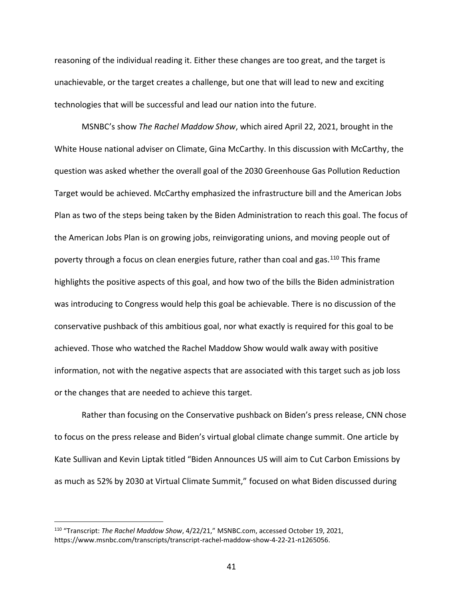reasoning of the individual reading it. Either these changes are too great, and the target is unachievable, or the target creates a challenge, but one that will lead to new and exciting technologies that will be successful and lead our nation into the future.

MSNBC's show *The Rachel Maddow Show*, which aired April 22, 2021, brought in the White House national adviser on Climate, Gina McCarthy. In this discussion with McCarthy, the question was asked whether the overall goal of the 2030 Greenhouse Gas Pollution Reduction Target would be achieved. McCarthy emphasized the infrastructure bill and the American Jobs Plan as two of the steps being taken by the Biden Administration to reach this goal. The focus of the American Jobs Plan is on growing jobs, reinvigorating unions, and moving people out of poverty through a focus on clean energies future, rather than coal and gas.<sup>110</sup> This frame highlights the positive aspects of this goal, and how two of the bills the Biden administration was introducing to Congress would help this goal be achievable. There is no discussion of the conservative pushback of this ambitious goal, nor what exactly is required for this goal to be achieved. Those who watched the Rachel Maddow Show would walk away with positive information, not with the negative aspects that are associated with this target such as job loss or the changes that are needed to achieve this target.

Rather than focusing on the Conservative pushback on Biden's press release, CNN chose to focus on the press release and Biden's virtual global climate change summit. One article by Kate Sullivan and Kevin Liptak titled "Biden Announces US will aim to Cut Carbon Emissions by as much as 52% by 2030 at Virtual Climate Summit," focused on what Biden discussed during

<sup>110</sup> "Transcript: *The Rachel Maddow Show*, 4/22/21," MSNBC.com, accessed October 19, 2021, https://www.msnbc.com/transcripts/transcript-rachel-maddow-show-4-22-21-n1265056.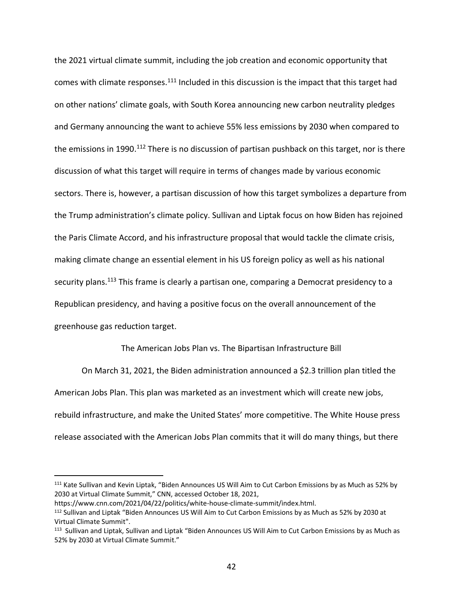the 2021 virtual climate summit, including the job creation and economic opportunity that comes with climate responses.<sup>111</sup> Included in this discussion is the impact that this target had on other nations' climate goals, with South Korea announcing new carbon neutrality pledges and Germany announcing the want to achieve 55% less emissions by 2030 when compared to the emissions in 1990.<sup>112</sup> There is no discussion of partisan pushback on this target, nor is there discussion of what this target will require in terms of changes made by various economic sectors. There is, however, a partisan discussion of how this target symbolizes a departure from the Trump administration's climate policy. Sullivan and Liptak focus on how Biden has rejoined the Paris Climate Accord, and his infrastructure proposal that would tackle the climate crisis, making climate change an essential element in his US foreign policy as well as his national security plans.<sup>113</sup> This frame is clearly a partisan one, comparing a Democrat presidency to a Republican presidency, and having a positive focus on the overall announcement of the greenhouse gas reduction target.

The American Jobs Plan vs. The Bipartisan Infrastructure Bill

On March 31, 2021, the Biden administration announced a \$2.3 trillion plan titled the American Jobs Plan. This plan was marketed as an investment which will create new jobs, rebuild infrastructure, and make the United States' more competitive. The White House press release associated with the American Jobs Plan commits that it will do many things, but there

<sup>111</sup> Kate Sullivan and Kevin Liptak, "Biden Announces US Will Aim to Cut Carbon Emissions by as Much as 52% by 2030 at Virtual Climate Summit," CNN, accessed October 18, 2021,

https://www.cnn.com/2021/04/22/politics/white-house-climate-summit/index.html.

<sup>112</sup> Sullivan and Liptak "Biden Announces US Will Aim to Cut Carbon Emissions by as Much as 52% by 2030 at Virtual Climate Summit".

<sup>&</sup>lt;sup>113</sup> Sullivan and Liptak, Sullivan and Liptak "Biden Announces US Will Aim to Cut Carbon Emissions by as Much as 52% by 2030 at Virtual Climate Summit."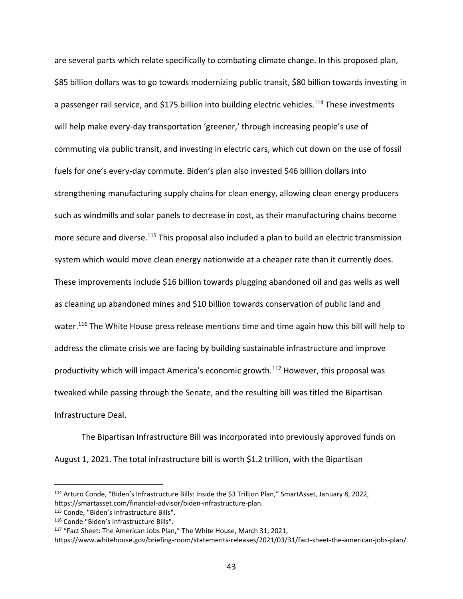are several parts which relate specifically to combating climate change. In this proposed plan, \$85 billion dollars was to go towards modernizing public transit, \$80 billion towards investing in a passenger rail service, and \$175 billion into building electric vehicles.<sup>114</sup> These investments will help make every-day transportation 'greener,' through increasing people's use of commuting via public transit, and investing in electric cars, which cut down on the use of fossil fuels for one's every-day commute. Biden's plan also invested \$46 billion dollars into strengthening manufacturing supply chains for clean energy, allowing clean energy producers such as windmills and solar panels to decrease in cost, as their manufacturing chains become more secure and diverse.<sup>115</sup> This proposal also included a plan to build an electric transmission system which would move clean energy nationwide at a cheaper rate than it currently does. These improvements include \$16 billion towards plugging abandoned oil and gas wells as well as cleaning up abandoned mines and \$10 billion towards conservation of public land and water.<sup>116</sup> The White House press release mentions time and time again how this bill will help to address the climate crisis we are facing by building sustainable infrastructure and improve productivity which will impact America's economic growth.<sup>117</sup> However, this proposal was tweaked while passing through the Senate, and the resulting bill was titled the Bipartisan Infrastructure Deal.

The Bipartisan Infrastructure Bill was incorporated into previously approved funds on August 1, 2021. The total infrastructure bill is worth \$1.2 trillion, with the Bipartisan

<sup>114</sup> Arturo Conde, "Biden's Infrastructure Bills: Inside the \$3 Trillion Plan," SmartAsset, January 8, 2022, https://smartasset.com/financial-advisor/biden-infrastructure-plan.

<sup>115</sup> Conde, "Biden's Infrastructure Bills".

<sup>116</sup> Conde "Biden's Infrastructure Bills".

<sup>117</sup> "Fact Sheet: The American Jobs Plan," The White House, March 31, 2021,

https://www.whitehouse.gov/briefing-room/statements-releases/2021/03/31/fact-sheet-the-american-jobs-plan/.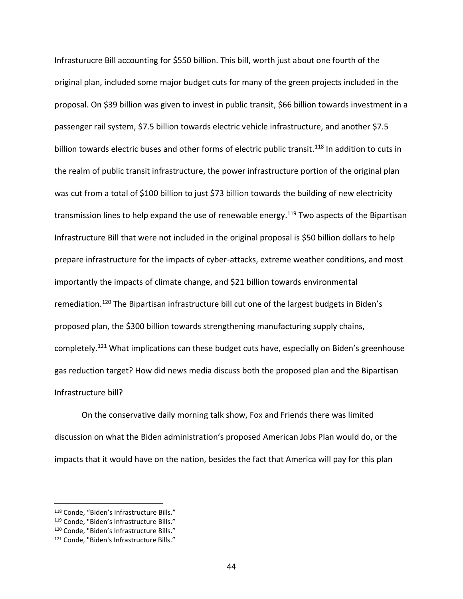Infrasturucre Bill accounting for \$550 billion. This bill, worth just about one fourth of the original plan, included some major budget cuts for many of the green projects included in the proposal. On \$39 billion was given to invest in public transit, \$66 billion towards investment in a passenger rail system, \$7.5 billion towards electric vehicle infrastructure, and another \$7.5 billion towards electric buses and other forms of electric public transit.<sup>118</sup> In addition to cuts in the realm of public transit infrastructure, the power infrastructure portion of the original plan was cut from a total of \$100 billion to just \$73 billion towards the building of new electricity transmission lines to help expand the use of renewable energy.<sup>119</sup> Two aspects of the Bipartisan Infrastructure Bill that were not included in the original proposal is \$50 billion dollars to help prepare infrastructure for the impacts of cyber-attacks, extreme weather conditions, and most importantly the impacts of climate change, and \$21 billion towards environmental remediation.<sup>120</sup> The Bipartisan infrastructure bill cut one of the largest budgets in Biden's proposed plan, the \$300 billion towards strengthening manufacturing supply chains, completely.<sup>121</sup> What implications can these budget cuts have, especially on Biden's greenhouse gas reduction target? How did news media discuss both the proposed plan and the Bipartisan Infrastructure bill?

On the conservative daily morning talk show, Fox and Friends there was limited discussion on what the Biden administration's proposed American Jobs Plan would do, or the impacts that it would have on the nation, besides the fact that America will pay for this plan

<sup>118</sup> Conde, "Biden's Infrastructure Bills."

<sup>119</sup> Conde, "Biden's Infrastructure Bills."

<sup>120</sup> Conde, "Biden's Infrastructure Bills."

<sup>121</sup> Conde, "Biden's Infrastructure Bills."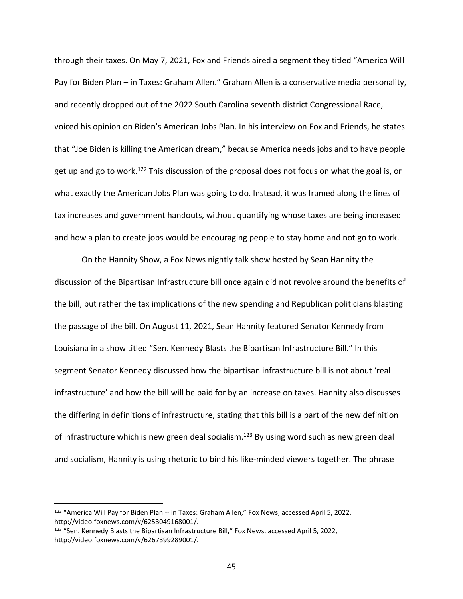through their taxes. On May 7, 2021, Fox and Friends aired a segment they titled "America Will Pay for Biden Plan – in Taxes: Graham Allen." Graham Allen is a conservative media personality, and recently dropped out of the 2022 South Carolina seventh district Congressional Race, voiced his opinion on Biden's American Jobs Plan. In his interview on Fox and Friends, he states that "Joe Biden is killing the American dream," because America needs jobs and to have people get up and go to work.<sup>122</sup> This discussion of the proposal does not focus on what the goal is, or what exactly the American Jobs Plan was going to do. Instead, it was framed along the lines of tax increases and government handouts, without quantifying whose taxes are being increased and how a plan to create jobs would be encouraging people to stay home and not go to work.

On the Hannity Show, a Fox News nightly talk show hosted by Sean Hannity the discussion of the Bipartisan Infrastructure bill once again did not revolve around the benefits of the bill, but rather the tax implications of the new spending and Republican politicians blasting the passage of the bill. On August 11, 2021, Sean Hannity featured Senator Kennedy from Louisiana in a show titled "Sen. Kennedy Blasts the Bipartisan Infrastructure Bill." In this segment Senator Kennedy discussed how the bipartisan infrastructure bill is not about 'real infrastructure' and how the bill will be paid for by an increase on taxes. Hannity also discusses the differing in definitions of infrastructure, stating that this bill is a part of the new definition of infrastructure which is new green deal socialism.<sup>123</sup> By using word such as new green deal and socialism, Hannity is using rhetoric to bind his like-minded viewers together. The phrase

<sup>122</sup> "America Will Pay for Biden Plan -- in Taxes: Graham Allen," Fox News, accessed April 5, 2022, http://video.foxnews.com/v/6253049168001/.

<sup>123</sup> "Sen. Kennedy Blasts the Bipartisan Infrastructure Bill," Fox News, accessed April 5, 2022, http://video.foxnews.com/v/6267399289001/.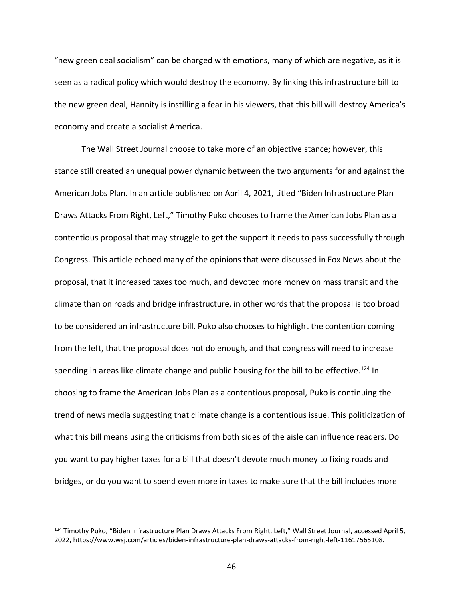"new green deal socialism" can be charged with emotions, many of which are negative, as it is seen as a radical policy which would destroy the economy. By linking this infrastructure bill to the new green deal, Hannity is instilling a fear in his viewers, that this bill will destroy America's economy and create a socialist America.

The Wall Street Journal choose to take more of an objective stance; however, this stance still created an unequal power dynamic between the two arguments for and against the American Jobs Plan. In an article published on April 4, 2021, titled "Biden Infrastructure Plan Draws Attacks From Right, Left," Timothy Puko chooses to frame the American Jobs Plan as a contentious proposal that may struggle to get the support it needs to pass successfully through Congress. This article echoed many of the opinions that were discussed in Fox News about the proposal, that it increased taxes too much, and devoted more money on mass transit and the climate than on roads and bridge infrastructure, in other words that the proposal is too broad to be considered an infrastructure bill. Puko also chooses to highlight the contention coming from the left, that the proposal does not do enough, and that congress will need to increase spending in areas like climate change and public housing for the bill to be effective.<sup>124</sup> In choosing to frame the American Jobs Plan as a contentious proposal, Puko is continuing the trend of news media suggesting that climate change is a contentious issue. This politicization of what this bill means using the criticisms from both sides of the aisle can influence readers. Do you want to pay higher taxes for a bill that doesn't devote much money to fixing roads and bridges, or do you want to spend even more in taxes to make sure that the bill includes more

<sup>124</sup> Timothy Puko, "Biden Infrastructure Plan Draws Attacks From Right, Left," Wall Street Journal, accessed April 5, 2022, https://www.wsj.com/articles/biden-infrastructure-plan-draws-attacks-from-right-left-11617565108.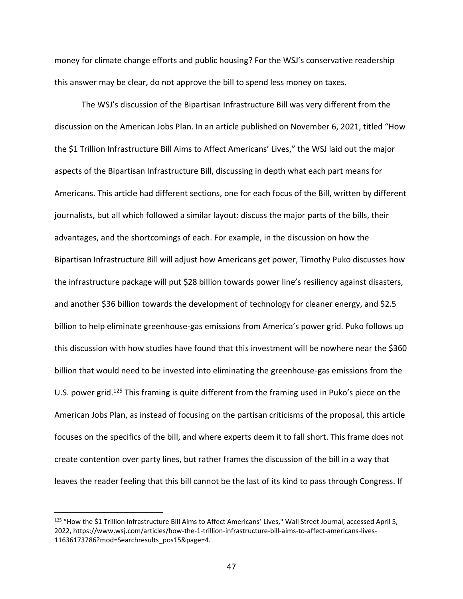money for climate change efforts and public housing? For the WSJ's conservative readership this answer may be clear, do not approve the bill to spend less money on taxes.

The WSJ's discussion of the Bipartisan Infrastructure Bill was very different from the discussion on the American Jobs Plan. In an article published on November 6, 2021, titled "How the \$1 Trillion Infrastructure Bill Aims to Affect Americans' Lives," the WSJ laid out the major aspects of the Bipartisan Infrastructure Bill, discussing in depth what each part means for Americans. This article had different sections, one for each focus of the Bill, written by different journalists, but all which followed a similar layout: discuss the major parts of the bills, their advantages, and the shortcomings of each. For example, in the discussion on how the Bipartisan Infrastructure Bill will adjust how Americans get power, Timothy Puko discusses how the infrastructure package will put \$28 billion towards power line's resiliency against disasters, and another \$36 billion towards the development of technology for cleaner energy, and \$2.5 billion to help eliminate greenhouse-gas emissions from America's power grid. Puko follows up this discussion with how studies have found that this investment will be nowhere near the \$360 billion that would need to be invested into eliminating the greenhouse-gas emissions from the U.S. power grid.<sup>125</sup> This framing is quite different from the framing used in Puko's piece on the American Jobs Plan, as instead of focusing on the partisan criticisms of the proposal, this article focuses on the specifics of the bill, and where experts deem it to fall short. This frame does not create contention over party lines, but rather frames the discussion of the bill in a way that leaves the reader feeling that this bill cannot be the last of its kind to pass through Congress. If

<sup>&</sup>lt;sup>125</sup> "How the \$1 Trillion Infrastructure Bill Aims to Affect Americans' Lives," Wall Street Journal, accessed April 5, 2022, https://www.wsj.com/articles/how-the-1-trillion-infrastructure-bill-aims-to-affect-americans-lives-11636173786?mod=Searchresults\_pos15&page=4.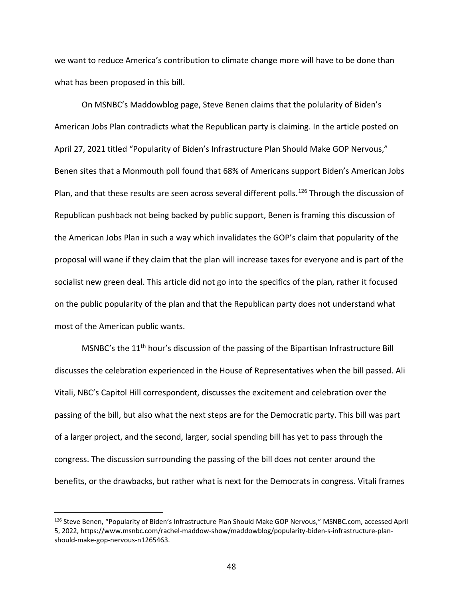we want to reduce America's contribution to climate change more will have to be done than what has been proposed in this bill.

On MSNBC's Maddowblog page, Steve Benen claims that the polularity of Biden's American Jobs Plan contradicts what the Republican party is claiming. In the article posted on April 27, 2021 titled "Popularity of Biden's Infrastructure Plan Should Make GOP Nervous," Benen sites that a Monmouth poll found that 68% of Americans support Biden's American Jobs Plan, and that these results are seen across several different polls.<sup>126</sup> Through the discussion of Republican pushback not being backed by public support, Benen is framing this discussion of the American Jobs Plan in such a way which invalidates the GOP's claim that popularity of the proposal will wane if they claim that the plan will increase taxes for everyone and is part of the socialist new green deal. This article did not go into the specifics of the plan, rather it focused on the public popularity of the plan and that the Republican party does not understand what most of the American public wants.

MSNBC's the 11<sup>th</sup> hour's discussion of the passing of the Bipartisan Infrastructure Bill discusses the celebration experienced in the House of Representatives when the bill passed. Ali Vitali, NBC's Capitol Hill correspondent, discusses the excitement and celebration over the passing of the bill, but also what the next steps are for the Democratic party. This bill was part of a larger project, and the second, larger, social spending bill has yet to pass through the congress. The discussion surrounding the passing of the bill does not center around the benefits, or the drawbacks, but rather what is next for the Democrats in congress. Vitali frames

<sup>126</sup> Steve Benen, "Popularity of Biden's Infrastructure Plan Should Make GOP Nervous," MSNBC.com, accessed April 5, 2022, https://www.msnbc.com/rachel-maddow-show/maddowblog/popularity-biden-s-infrastructure-planshould-make-gop-nervous-n1265463.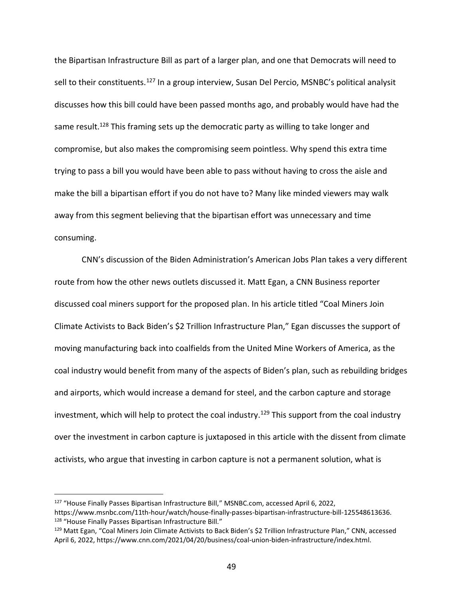the Bipartisan Infrastructure Bill as part of a larger plan, and one that Democrats will need to sell to their constituents.<sup>127</sup> In a group interview, Susan Del Percio, MSNBC's political analysit discusses how this bill could have been passed months ago, and probably would have had the same result.<sup>128</sup> This framing sets up the democratic party as willing to take longer and compromise, but also makes the compromising seem pointless. Why spend this extra time trying to pass a bill you would have been able to pass without having to cross the aisle and make the bill a bipartisan effort if you do not have to? Many like minded viewers may walk away from this segment believing that the bipartisan effort was unnecessary and time consuming.

CNN's discussion of the Biden Administration's American Jobs Plan takes a very different route from how the other news outlets discussed it. Matt Egan, a CNN Business reporter discussed coal miners support for the proposed plan. In his article titled "Coal Miners Join Climate Activists to Back Biden's \$2 Trillion Infrastructure Plan," Egan discusses the support of moving manufacturing back into coalfields from the United Mine Workers of America, as the coal industry would benefit from many of the aspects of Biden's plan, such as rebuilding bridges and airports, which would increase a demand for steel, and the carbon capture and storage investment, which will help to protect the coal industry.<sup>129</sup> This support from the coal industry over the investment in carbon capture is juxtaposed in this article with the dissent from climate activists, who argue that investing in carbon capture is not a permanent solution, what is

<sup>127</sup> "House Finally Passes Bipartisan Infrastructure Bill," MSNBC.com, accessed April 6, 2022, https://www.msnbc.com/11th-hour/watch/house-finally-passes-bipartisan-infrastructure-bill-125548613636. <sup>128</sup> "House Finally Passes Bipartisan Infrastructure Bill."

<sup>129</sup> Matt Egan, "Coal Miners Join Climate Activists to Back Biden's \$2 Trillion Infrastructure Plan," CNN, accessed April 6, 2022, https://www.cnn.com/2021/04/20/business/coal-union-biden-infrastructure/index.html.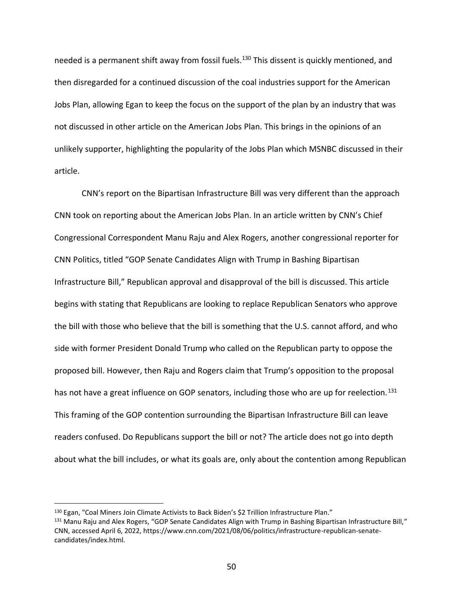needed is a permanent shift away from fossil fuels.<sup>130</sup> This dissent is quickly mentioned, and then disregarded for a continued discussion of the coal industries support for the American Jobs Plan, allowing Egan to keep the focus on the support of the plan by an industry that was not discussed in other article on the American Jobs Plan. This brings in the opinions of an unlikely supporter, highlighting the popularity of the Jobs Plan which MSNBC discussed in their article.

CNN's report on the Bipartisan Infrastructure Bill was very different than the approach CNN took on reporting about the American Jobs Plan. In an article written by CNN's Chief Congressional Correspondent Manu Raju and Alex Rogers, another congressional reporter for CNN Politics, titled "GOP Senate Candidates Align with Trump in Bashing Bipartisan Infrastructure Bill," Republican approval and disapproval of the bill is discussed. This article begins with stating that Republicans are looking to replace Republican Senators who approve the bill with those who believe that the bill is something that the U.S. cannot afford, and who side with former President Donald Trump who called on the Republican party to oppose the proposed bill. However, then Raju and Rogers claim that Trump's opposition to the proposal has not have a great influence on GOP senators, including those who are up for reelection.<sup>131</sup> This framing of the GOP contention surrounding the Bipartisan Infrastructure Bill can leave readers confused. Do Republicans support the bill or not? The article does not go into depth about what the bill includes, or what its goals are, only about the contention among Republican

<sup>130</sup> Egan, "Coal Miners Join Climate Activists to Back Biden's \$2 Trillion Infrastructure Plan."

<sup>131</sup> Manu Raju and Alex Rogers, "GOP Senate Candidates Align with Trump in Bashing Bipartisan Infrastructure Bill," CNN, accessed April 6, 2022, https://www.cnn.com/2021/08/06/politics/infrastructure-republican-senatecandidates/index.html.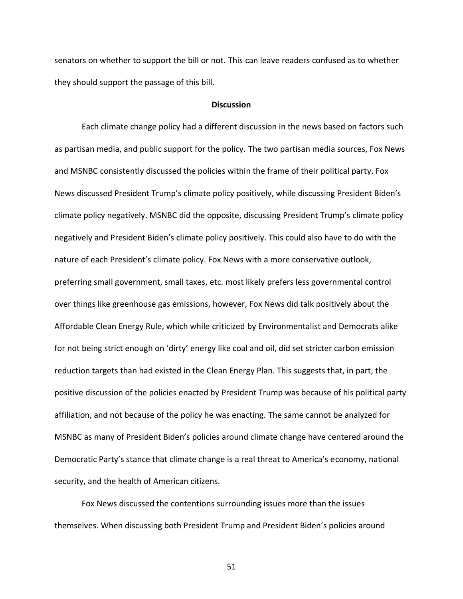senators on whether to support the bill or not. This can leave readers confused as to whether they should support the passage of this bill.

#### **Discussion**

Each climate change policy had a different discussion in the news based on factors such as partisan media, and public support for the policy. The two partisan media sources, Fox News and MSNBC consistently discussed the policies within the frame of their political party. Fox News discussed President Trump's climate policy positively, while discussing President Biden's climate policy negatively. MSNBC did the opposite, discussing President Trump's climate policy negatively and President Biden's climate policy positively. This could also have to do with the nature of each President's climate policy. Fox News with a more conservative outlook, preferring small government, small taxes, etc. most likely prefers less governmental control over things like greenhouse gas emissions, however, Fox News did talk positively about the Affordable Clean Energy Rule, which while criticized by Environmentalist and Democrats alike for not being strict enough on 'dirty' energy like coal and oil, did set stricter carbon emission reduction targets than had existed in the Clean Energy Plan. This suggests that, in part, the positive discussion of the policies enacted by President Trump was because of his political party affiliation, and not because of the policy he was enacting. The same cannot be analyzed for MSNBC as many of President Biden's policies around climate change have centered around the Democratic Party's stance that climate change is a real threat to America's economy, national security, and the health of American citizens.

Fox News discussed the contentions surrounding issues more than the issues themselves. When discussing both President Trump and President Biden's policies around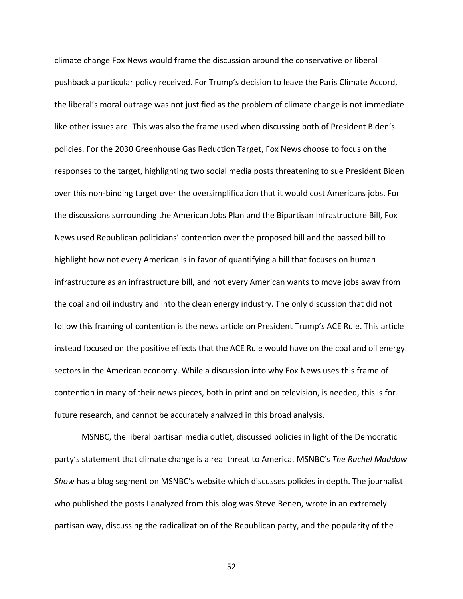climate change Fox News would frame the discussion around the conservative or liberal pushback a particular policy received. For Trump's decision to leave the Paris Climate Accord, the liberal's moral outrage was not justified as the problem of climate change is not immediate like other issues are. This was also the frame used when discussing both of President Biden's policies. For the 2030 Greenhouse Gas Reduction Target, Fox News choose to focus on the responses to the target, highlighting two social media posts threatening to sue President Biden over this non-binding target over the oversimplification that it would cost Americans jobs. For the discussions surrounding the American Jobs Plan and the Bipartisan Infrastructure Bill, Fox News used Republican politicians' contention over the proposed bill and the passed bill to highlight how not every American is in favor of quantifying a bill that focuses on human infrastructure as an infrastructure bill, and not every American wants to move jobs away from the coal and oil industry and into the clean energy industry. The only discussion that did not follow this framing of contention is the news article on President Trump's ACE Rule. This article instead focused on the positive effects that the ACE Rule would have on the coal and oil energy sectors in the American economy. While a discussion into why Fox News uses this frame of contention in many of their news pieces, both in print and on television, is needed, this is for future research, and cannot be accurately analyzed in this broad analysis.

MSNBC, the liberal partisan media outlet, discussed policies in light of the Democratic party's statement that climate change is a real threat to America. MSNBC's *The Rachel Maddow Show* has a blog segment on MSNBC's website which discusses policies in depth. The journalist who published the posts I analyzed from this blog was Steve Benen, wrote in an extremely partisan way, discussing the radicalization of the Republican party, and the popularity of the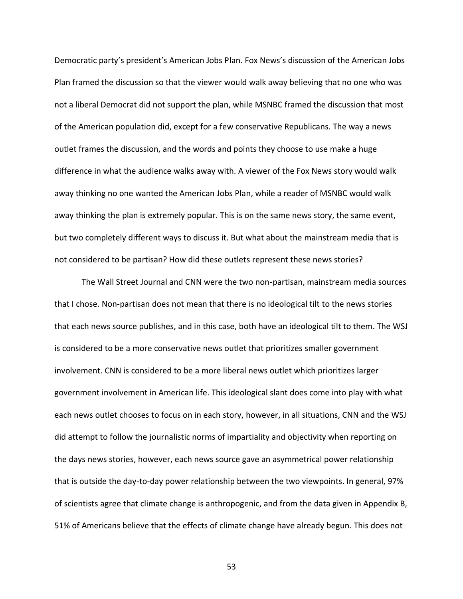Democratic party's president's American Jobs Plan. Fox News's discussion of the American Jobs Plan framed the discussion so that the viewer would walk away believing that no one who was not a liberal Democrat did not support the plan, while MSNBC framed the discussion that most of the American population did, except for a few conservative Republicans. The way a news outlet frames the discussion, and the words and points they choose to use make a huge difference in what the audience walks away with. A viewer of the Fox News story would walk away thinking no one wanted the American Jobs Plan, while a reader of MSNBC would walk away thinking the plan is extremely popular. This is on the same news story, the same event, but two completely different ways to discuss it. But what about the mainstream media that is not considered to be partisan? How did these outlets represent these news stories?

The Wall Street Journal and CNN were the two non-partisan, mainstream media sources that I chose. Non-partisan does not mean that there is no ideological tilt to the news stories that each news source publishes, and in this case, both have an ideological tilt to them. The WSJ is considered to be a more conservative news outlet that prioritizes smaller government involvement. CNN is considered to be a more liberal news outlet which prioritizes larger government involvement in American life. This ideological slant does come into play with what each news outlet chooses to focus on in each story, however, in all situations, CNN and the WSJ did attempt to follow the journalistic norms of impartiality and objectivity when reporting on the days news stories, however, each news source gave an asymmetrical power relationship that is outside the day-to-day power relationship between the two viewpoints. In general, 97% of scientists agree that climate change is anthropogenic, and from the data given in Appendix B, 51% of Americans believe that the effects of climate change have already begun. This does not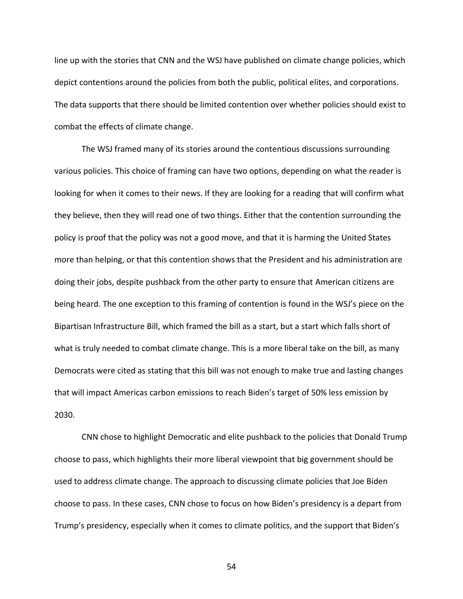line up with the stories that CNN and the WSJ have published on climate change policies, which depict contentions around the policies from both the public, political elites, and corporations. The data supports that there should be limited contention over whether policies should exist to combat the effects of climate change.

The WSJ framed many of its stories around the contentious discussions surrounding various policies. This choice of framing can have two options, depending on what the reader is looking for when it comes to their news. If they are looking for a reading that will confirm what they believe, then they will read one of two things. Either that the contention surrounding the policy is proof that the policy was not a good move, and that it is harming the United States more than helping, or that this contention shows that the President and his administration are doing their jobs, despite pushback from the other party to ensure that American citizens are being heard. The one exception to this framing of contention is found in the WSJ's piece on the Bipartisan Infrastructure Bill, which framed the bill as a start, but a start which falls short of what is truly needed to combat climate change. This is a more liberal take on the bill, as many Democrats were cited as stating that this bill was not enough to make true and lasting changes that will impact Americas carbon emissions to reach Biden's target of 50% less emission by 2030.

CNN chose to highlight Democratic and elite pushback to the policies that Donald Trump choose to pass, which highlights their more liberal viewpoint that big government should be used to address climate change. The approach to discussing climate policies that Joe Biden choose to pass. In these cases, CNN chose to focus on how Biden's presidency is a depart from Trump's presidency, especially when it comes to climate politics, and the support that Biden's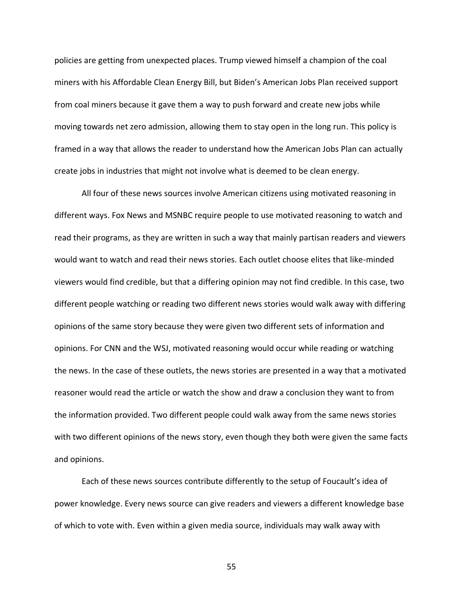policies are getting from unexpected places. Trump viewed himself a champion of the coal miners with his Affordable Clean Energy Bill, but Biden's American Jobs Plan received support from coal miners because it gave them a way to push forward and create new jobs while moving towards net zero admission, allowing them to stay open in the long run. This policy is framed in a way that allows the reader to understand how the American Jobs Plan can actually create jobs in industries that might not involve what is deemed to be clean energy.

All four of these news sources involve American citizens using motivated reasoning in different ways. Fox News and MSNBC require people to use motivated reasoning to watch and read their programs, as they are written in such a way that mainly partisan readers and viewers would want to watch and read their news stories. Each outlet choose elites that like-minded viewers would find credible, but that a differing opinion may not find credible. In this case, two different people watching or reading two different news stories would walk away with differing opinions of the same story because they were given two different sets of information and opinions. For CNN and the WSJ, motivated reasoning would occur while reading or watching the news. In the case of these outlets, the news stories are presented in a way that a motivated reasoner would read the article or watch the show and draw a conclusion they want to from the information provided. Two different people could walk away from the same news stories with two different opinions of the news story, even though they both were given the same facts and opinions.

Each of these news sources contribute differently to the setup of Foucault's idea of power knowledge. Every news source can give readers and viewers a different knowledge base of which to vote with. Even within a given media source, individuals may walk away with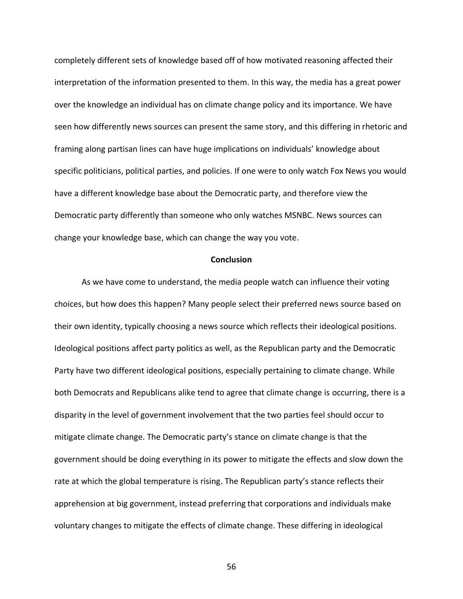completely different sets of knowledge based off of how motivated reasoning affected their interpretation of the information presented to them. In this way, the media has a great power over the knowledge an individual has on climate change policy and its importance. We have seen how differently news sources can present the same story, and this differing in rhetoric and framing along partisan lines can have huge implications on individuals' knowledge about specific politicians, political parties, and policies. If one were to only watch Fox News you would have a different knowledge base about the Democratic party, and therefore view the Democratic party differently than someone who only watches MSNBC. News sources can change your knowledge base, which can change the way you vote.

#### **Conclusion**

As we have come to understand, the media people watch can influence their voting choices, but how does this happen? Many people select their preferred news source based on their own identity, typically choosing a news source which reflects their ideological positions. Ideological positions affect party politics as well, as the Republican party and the Democratic Party have two different ideological positions, especially pertaining to climate change. While both Democrats and Republicans alike tend to agree that climate change is occurring, there is a disparity in the level of government involvement that the two parties feel should occur to mitigate climate change. The Democratic party's stance on climate change is that the government should be doing everything in its power to mitigate the effects and slow down the rate at which the global temperature is rising. The Republican party's stance reflects their apprehension at big government, instead preferring that corporations and individuals make voluntary changes to mitigate the effects of climate change. These differing in ideological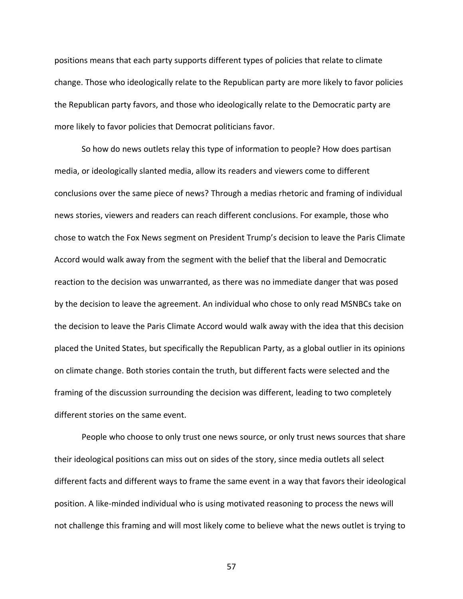positions means that each party supports different types of policies that relate to climate change. Those who ideologically relate to the Republican party are more likely to favor policies the Republican party favors, and those who ideologically relate to the Democratic party are more likely to favor policies that Democrat politicians favor.

So how do news outlets relay this type of information to people? How does partisan media, or ideologically slanted media, allow its readers and viewers come to different conclusions over the same piece of news? Through a medias rhetoric and framing of individual news stories, viewers and readers can reach different conclusions. For example, those who chose to watch the Fox News segment on President Trump's decision to leave the Paris Climate Accord would walk away from the segment with the belief that the liberal and Democratic reaction to the decision was unwarranted, as there was no immediate danger that was posed by the decision to leave the agreement. An individual who chose to only read MSNBCs take on the decision to leave the Paris Climate Accord would walk away with the idea that this decision placed the United States, but specifically the Republican Party, as a global outlier in its opinions on climate change. Both stories contain the truth, but different facts were selected and the framing of the discussion surrounding the decision was different, leading to two completely different stories on the same event.

People who choose to only trust one news source, or only trust news sources that share their ideological positions can miss out on sides of the story, since media outlets all select different facts and different ways to frame the same event in a way that favors their ideological position. A like-minded individual who is using motivated reasoning to process the news will not challenge this framing and will most likely come to believe what the news outlet is trying to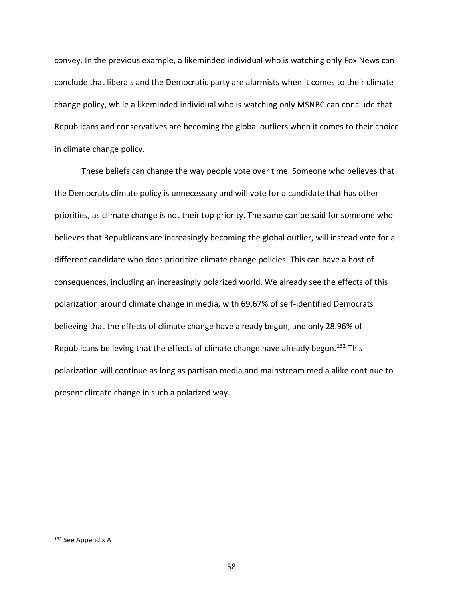convey. In the previous example, a likeminded individual who is watching only Fox News can conclude that liberals and the Democratic party are alarmists when it comes to their climate change policy, while a likeminded individual who is watching only MSNBC can conclude that Republicans and conservatives are becoming the global outliers when it comes to their choice in climate change policy.

These beliefs can change the way people vote over time. Someone who believes that the Democrats climate policy is unnecessary and will vote for a candidate that has other priorities, as climate change is not their top priority. The same can be said for someone who believes that Republicans are increasingly becoming the global outlier, will instead vote for a different candidate who does prioritize climate change policies. This can have a host of consequences, including an increasingly polarized world. We already see the effects of this polarization around climate change in media, with 69.67% of self-identified Democrats believing that the effects of climate change have already begun, and only 28.96% of Republicans believing that the effects of climate change have already begun.<sup>132</sup> This polarization will continue as long as partisan media and mainstream media alike continue to present climate change in such a polarized way.

<sup>132</sup> See Appendix A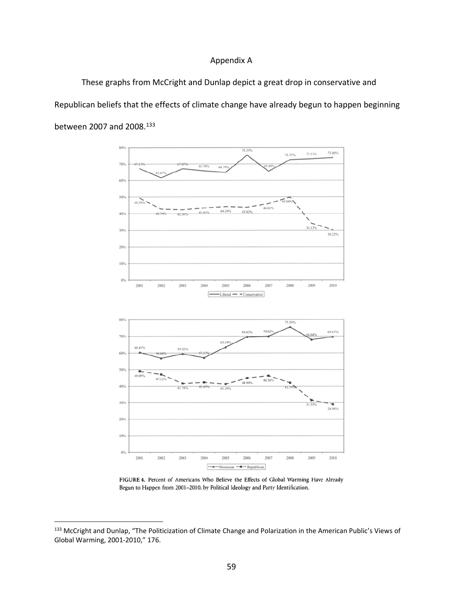## Appendix A

These graphs from McCright and Dunlap depict a great drop in conservative and Republican beliefs that the effects of climate change have already begun to happen beginning between 2007 and 2008.<sup>133</sup>



FIGURE 4. Percent of Americans Who Believe the Effects of Global Warming Have Already Begun to Happen from 2001-2010, by Political Ideology and Party Identification.

<sup>133</sup> McCright and Dunlap, "The Politicization of Climate Change and Polarization in the American Public's Views of Global Warming, 2001-2010," 176.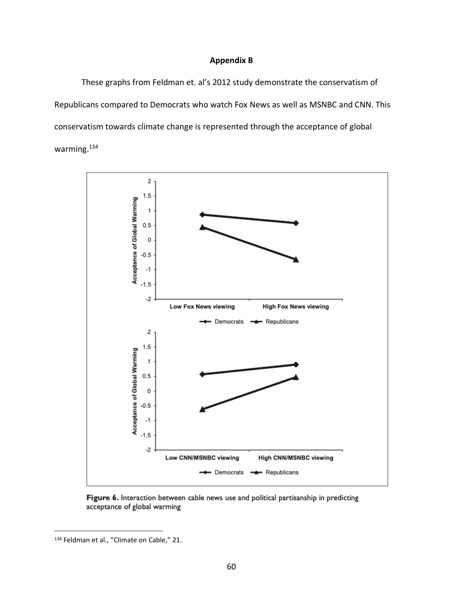#### **Appendix B**

These graphs from Feldman et. al's 2012 study demonstrate the conservatism of Republicans compared to Democrats who watch Fox News as well as MSNBC and CNN. This conservatism towards climate change is represented through the acceptance of global warming.<sup>134</sup>



Figure 6. Interaction between cable news use and political partisanship in predicting acceptance of global warming

<sup>134</sup> Feldman et al., "Climate on Cable," 21.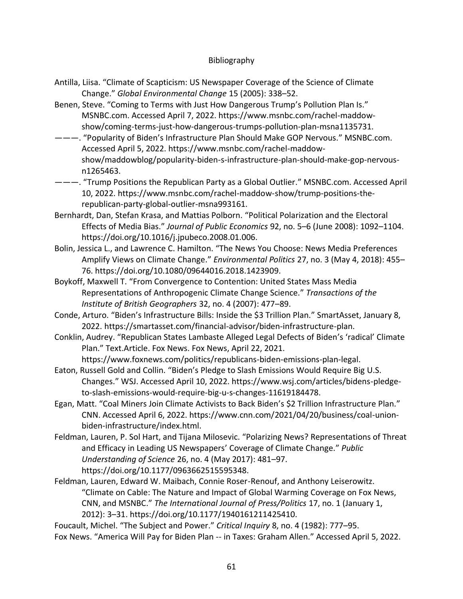## Bibliography

- Antilla, Liisa. "Climate of Scapticism: US Newspaper Coverage of the Science of Climate Change." *Global Environmental Change* 15 (2005): 338–52.
- Benen, Steve. "Coming to Terms with Just How Dangerous Trump's Pollution Plan Is." MSNBC.com. Accessed April 7, 2022. https://www.msnbc.com/rachel-maddowshow/coming-terms-just-how-dangerous-trumps-pollution-plan-msna1135731.
- ———. "Popularity of Biden's Infrastructure Plan Should Make GOP Nervous." MSNBC.com. Accessed April 5, 2022. https://www.msnbc.com/rachel-maddowshow/maddowblog/popularity-biden-s-infrastructure-plan-should-make-gop-nervousn1265463.
- ———. "Trump Positions the Republican Party as a Global Outlier." MSNBC.com. Accessed April 10, 2022. https://www.msnbc.com/rachel-maddow-show/trump-positions-therepublican-party-global-outlier-msna993161.
- Bernhardt, Dan, Stefan Krasa, and Mattias Polborn. "Political Polarization and the Electoral Effects of Media Bias." *Journal of Public Economics* 92, no. 5–6 (June 2008): 1092–1104. https://doi.org/10.1016/j.jpubeco.2008.01.006.
- Bolin, Jessica L., and Lawrence C. Hamilton. "The News You Choose: News Media Preferences Amplify Views on Climate Change." *Environmental Politics* 27, no. 3 (May 4, 2018): 455– 76. https://doi.org/10.1080/09644016.2018.1423909.
- Boykoff, Maxwell T. "From Convergence to Contention: United States Mass Media Representations of Anthropogenic Climate Change Science." *Transactions of the Institute of British Geographers* 32, no. 4 (2007): 477–89.
- Conde, Arturo. "Biden's Infrastructure Bills: Inside the \$3 Trillion Plan." SmartAsset, January 8, 2022. https://smartasset.com/financial-advisor/biden-infrastructure-plan.
- Conklin, Audrey. "Republican States Lambaste Alleged Legal Defects of Biden's 'radical' Climate Plan." Text.Article. Fox News. Fox News, April 22, 2021.

https://www.foxnews.com/politics/republicans-biden-emissions-plan-legal. Eaton, Russell Gold and Collin. "Biden's Pledge to Slash Emissions Would Require Big U.S. Changes." WSJ. Accessed April 10, 2022. https://www.wsj.com/articles/bidens-pledge-

- to-slash-emissions-would-require-big-u-s-changes-11619184478.
- Egan, Matt. "Coal Miners Join Climate Activists to Back Biden's \$2 Trillion Infrastructure Plan." CNN. Accessed April 6, 2022. https://www.cnn.com/2021/04/20/business/coal-unionbiden-infrastructure/index.html.
- Feldman, Lauren, P. Sol Hart, and Tijana Milosevic. "Polarizing News? Representations of Threat and Efficacy in Leading US Newspapers' Coverage of Climate Change." *Public Understanding of Science* 26, no. 4 (May 2017): 481–97. https://doi.org/10.1177/0963662515595348.
- Feldman, Lauren, Edward W. Maibach, Connie Roser-Renouf, and Anthony Leiserowitz. "Climate on Cable: The Nature and Impact of Global Warming Coverage on Fox News, CNN, and MSNBC." *The International Journal of Press/Politics* 17, no. 1 (January 1, 2012): 3–31. https://doi.org/10.1177/1940161211425410.

Foucault, Michel. "The Subject and Power." *Critical Inquiry* 8, no. 4 (1982): 777–95. Fox News. "America Will Pay for Biden Plan -- in Taxes: Graham Allen." Accessed April 5, 2022.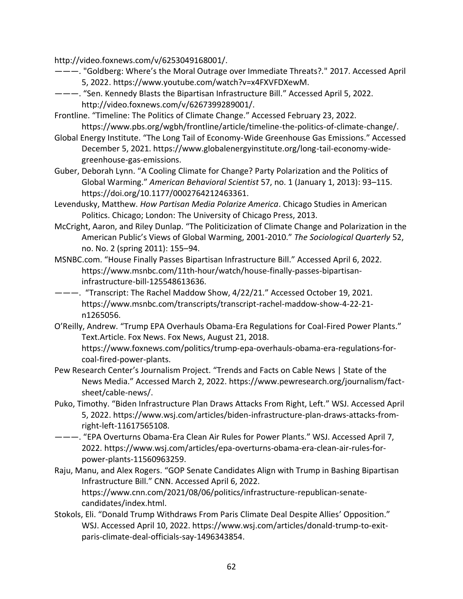http://video.foxnews.com/v/6253049168001/.

- ———. "Goldberg: Where's the Moral Outrage over Immediate Threats?*.*" 2017. Accessed April 5, 2022. https://www.youtube.com/watch?v=x4FXVFDXewM.
- ———. "Sen. Kennedy Blasts the Bipartisan Infrastructure Bill." Accessed April 5, 2022. http://video.foxnews.com/v/6267399289001/.
- Frontline. "Timeline: The Politics of Climate Change." Accessed February 23, 2022. https://www.pbs.org/wgbh/frontline/article/timeline-the-politics-of-climate-change/.
- Global Energy Institute. "The Long Tail of Economy-Wide Greenhouse Gas Emissions." Accessed December 5, 2021. https://www.globalenergyinstitute.org/long-tail-economy-widegreenhouse-gas-emissions.
- Guber, Deborah Lynn. "A Cooling Climate for Change? Party Polarization and the Politics of Global Warming." *American Behavioral Scientist* 57, no. 1 (January 1, 2013): 93–115. https://doi.org/10.1177/0002764212463361.
- Levendusky, Matthew. *How Partisan Media Polarize America*. Chicago Studies in American Politics. Chicago; London: The University of Chicago Press, 2013.
- McCright, Aaron, and Riley Dunlap. "The Politicization of Climate Change and Polarization in the American Public's Views of Global Warming, 2001-2010." *The Sociological Quarterly* 52, no. No. 2 (spring 2011): 155–94.
- MSNBC.com. "House Finally Passes Bipartisan Infrastructure Bill." Accessed April 6, 2022. https://www.msnbc.com/11th-hour/watch/house-finally-passes-bipartisaninfrastructure-bill-125548613636.
- ———. "Transcript: The Rachel Maddow Show, 4/22/21." Accessed October 19, 2021. https://www.msnbc.com/transcripts/transcript-rachel-maddow-show-4-22-21 n1265056.
- O'Reilly, Andrew. "Trump EPA Overhauls Obama-Era Regulations for Coal-Fired Power Plants." Text.Article. Fox News. Fox News, August 21, 2018. https://www.foxnews.com/politics/trump-epa-overhauls-obama-era-regulations-forcoal-fired-power-plants.
- Pew Research Center's Journalism Project. "Trends and Facts on Cable News | State of the News Media." Accessed March 2, 2022. https://www.pewresearch.org/journalism/factsheet/cable-news/.
- Puko, Timothy. "Biden Infrastructure Plan Draws Attacks From Right, Left." WSJ. Accessed April 5, 2022. https://www.wsj.com/articles/biden-infrastructure-plan-draws-attacks-fromright-left-11617565108.
- ———. "EPA Overturns Obama-Era Clean Air Rules for Power Plants." WSJ. Accessed April 7, 2022. https://www.wsj.com/articles/epa-overturns-obama-era-clean-air-rules-forpower-plants-11560963259.
- Raju, Manu, and Alex Rogers. "GOP Senate Candidates Align with Trump in Bashing Bipartisan Infrastructure Bill." CNN. Accessed April 6, 2022. https://www.cnn.com/2021/08/06/politics/infrastructure-republican-senatecandidates/index.html.
- Stokols, Eli. "Donald Trump Withdraws From Paris Climate Deal Despite Allies' Opposition." WSJ. Accessed April 10, 2022. https://www.wsj.com/articles/donald-trump-to-exitparis-climate-deal-officials-say-1496343854.